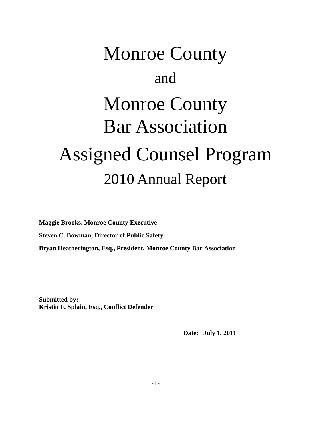# Monroe County and Monroe County Bar Association Assigned Counsel Program 2010 Annual Report

**Maggie Brooks, Monroe County Executive Steven C. Bowman, Director of Public Safety Bryan Heatherington, Esq., President, Monroe County Bar Association**

**Submitted by: Kristin F. Splain, Esq., Conflict Defender**

 **Date: July 1, 2011**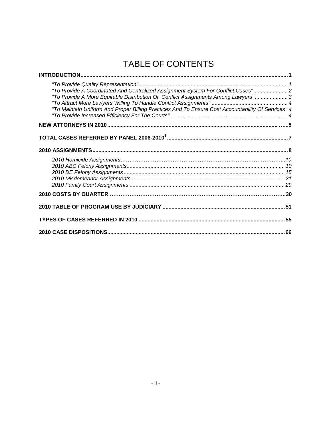### TABLE OF CONTENTS

| "To Provide A Coordinated And Centralized Assignment System For Conflict Cases"2<br>"To Provide A More Equitable Distribution Of Conflict Assignments Among Lawyers"3<br>"To Maintain Uniform And Proper Billing Practices And To Ensure Cost Accountability Of Services" 4 |  |
|-----------------------------------------------------------------------------------------------------------------------------------------------------------------------------------------------------------------------------------------------------------------------------|--|
|                                                                                                                                                                                                                                                                             |  |
|                                                                                                                                                                                                                                                                             |  |
|                                                                                                                                                                                                                                                                             |  |
|                                                                                                                                                                                                                                                                             |  |
|                                                                                                                                                                                                                                                                             |  |
|                                                                                                                                                                                                                                                                             |  |
|                                                                                                                                                                                                                                                                             |  |
|                                                                                                                                                                                                                                                                             |  |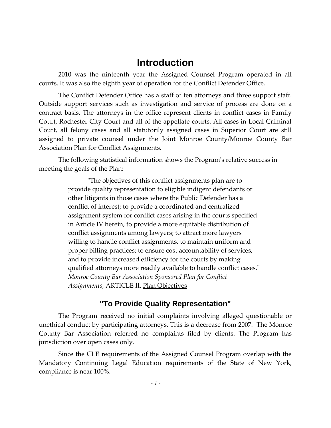#### **Introduction**

2010 was the ninteenth year the Assigned Counsel Program operated in all courts. It was also the eighth year of operation for the Conflict Defender Office.

The Conflict Defender Office has a staff of ten attorneys and three support staff. Outside support services such as investigation and service of process are done on a contract basis. The attorneys in the office represent clients in conflict cases in Family Court, Rochester City Court and all of the appellate courts. All cases in Local Criminal Court, all felony cases and all statutorily assigned cases in Superior Court are still assigned to private counsel under the Joint Monroe County/Monroe County Bar Association Plan for Conflict Assignments.

The following statistical information shows the Program's relative success in meeting the goals of the Plan:

> "The objectives of this conflict assignments plan are to provide quality representation to eligible indigent defendants or other litigants in those cases where the Public Defender has a conflict of interest; to provide a coordinated and centralized assignment system for conflict cases arising in the courts specified in Article IV herein, to provide a more equitable distribution of conflict assignments among lawyers; to attract more lawyers willing to handle conflict assignments, to maintain uniform and proper billing practices; to ensure cost accountability of services, and to provide increased efficiency for the courts by making qualified attorneys more readily available to handle conflict cases." *Monroe County Bar Association Sponsored Plan for Conflict Assignments*, ARTICLE II. Plan Objectives

#### **"To Provide Quality Representation"**

The Program received no initial complaints involving alleged questionable or unethical conduct by participating attorneys. This is a decrease from 2007. The Monroe County Bar Association referred no complaints filed by clients. The Program has jurisdiction over open cases only.

Since the CLE requirements of the Assigned Counsel Program overlap with the Mandatory Continuing Legal Education requirements of the State of New York, compliance is near 100%.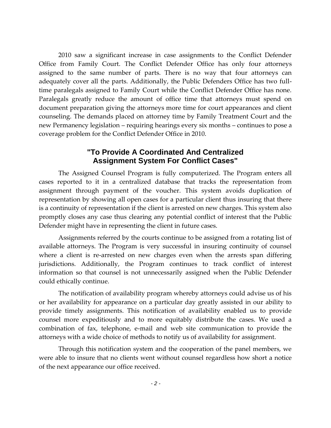2010 saw a significant increase in case assignments to the Conflict Defender Office from Family Court. The Conflict Defender Office has only four attorneys assigned to the same number of parts. There is no way that four attorneys can adequately cover all the parts. Additionally, the Public Defenders Office has two fulltime paralegals assigned to Family Court while the Conflict Defender Office has none. Paralegals greatly reduce the amount of office time that attorneys must spend on document preparation giving the attorneys more time for court appearances and client counseling. The demands placed on attorney time by Family Treatment Court and the new Permanency legislation – requiring hearings every six months – continues to pose a coverage problem for the Conflict Defender Office in 2010.

#### **"To Provide A Coordinated And Centralized Assignment System For Conflict Cases"**

The Assigned Counsel Program is fully computerized. The Program enters all cases reported to it in a centralized database that tracks the representation from assignment through payment of the voucher. This system avoids duplication of representation by showing all open cases for a particular client thus insuring that there is a continuity of representation if the client is arrested on new charges. This system also promptly closes any case thus clearing any potential conflict of interest that the Public Defender might have in representing the client in future cases.

Assignments referred by the courts continue to be assigned from a rotating list of available attorneys. The Program is very successful in insuring continuity of counsel where a client is re-arrested on new charges even when the arrests span differing jurisdictions. Additionally, the Program continues to track conflict of interest information so that counsel is not unnecessarily assigned when the Public Defender could ethically continue.

The notification of availability program whereby attorneys could advise us of his or her availability for appearance on a particular day greatly assisted in our ability to provide timely assignments. This notification of availability enabled us to provide counsel more expeditiously and to more equitably distribute the cases. We used a combination of fax, telephone, e-mail and web site communication to provide the attorneys with a wide choice of methods to notify us of availability for assignment.

Through this notification system and the cooperation of the panel members, we were able to insure that no clients went without counsel regardless how short a notice of the next appearance our office received.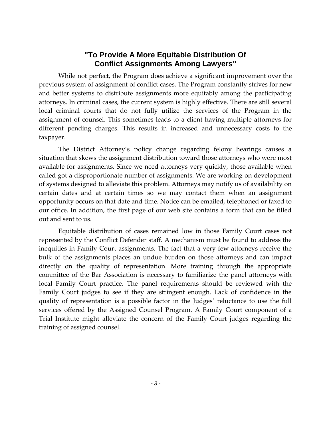#### **"To Provide A More Equitable Distribution Of Conflict Assignments Among Lawyers"**

While not perfect, the Program does achieve a significant improvement over the previous system of assignment of conflict cases. The Program constantly strives for new and better systems to distribute assignments more equitably among the participating attorneys. In criminal cases, the current system is highly effective. There are still several local criminal courts that do not fully utilize the services of the Program in the assignment of counsel. This sometimes leads to a client having multiple attorneys for different pending charges. This results in increased and unnecessary costs to the taxpayer.

The District Attorney's policy change regarding felony hearings causes a situation that skews the assignment distribution toward those attorneys who were most available for assignments. Since we need attorneys very quickly, those available when called got a disproportionate number of assignments. We are working on development of systems designed to alleviate this problem. Attorneys may notify us of availability on certain dates and at certain times so we may contact them when an assignment opportunity occurs on that date and time. Notice can be emailed, telephoned or faxed to our office. In addition, the first page of our web site contains a form that can be filled out and sent to us.

Equitable distribution of cases remained low in those Family Court cases not represented by the Conflict Defender staff. A mechanism must be found to address the inequities in Family Court assignments. The fact that a very few attorneys receive the bulk of the assignments places an undue burden on those attorneys and can impact directly on the quality of representation. More training through the appropriate committee of the Bar Association is necessary to familiarize the panel attorneys with local Family Court practice. The panel requirements should be reviewed with the Family Court judges to see if they are stringent enough. Lack of confidence in the quality of representation is a possible factor in the Judges' reluctance to use the full services offered by the Assigned Counsel Program. A Family Court component of a Trial Institute might alleviate the concern of the Family Court judges regarding the training of assigned counsel.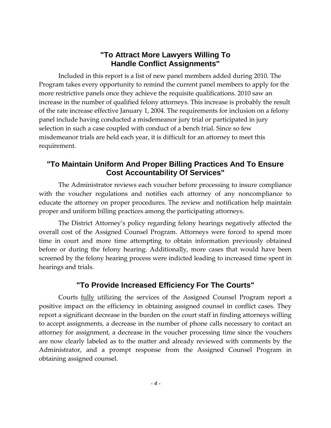#### **"To Attract More Lawyers Willing To Handle Conflict Assignments"**

Included in this report is a list of new panel members added during 2010. The Program takes every opportunity to remind the current panel members to apply for the more restrictive panels once they achieve the requisite qualifications. 2010 saw an increase in the number of qualified felony attorneys. This increase is probably the result of the rate increase effective January 1, 2004. The requirements for inclusion on a felony panel include having conducted a misdemeanor jury trial or participated in jury selection in such a case coupled with conduct of a bench trial. Since so few misdemeanor trials are held each year, it is difficult for an attorney to meet this requirement.

#### **"To Maintain Uniform And Proper Billing Practices And To Ensure Cost Accountability Of Services"**

The Administrator reviews each voucher before processing to insure compliance with the voucher regulations and notifies each attorney of any noncompliance to educate the attorney on proper procedures. The review and notification help maintain proper and uniform billing practices among the participating attorneys.

The District Attorney's policy regarding felony hearings negatively affected the overall cost of the Assigned Counsel Program. Attorneys were forced to spend more time in court and more time attempting to obtain information previously obtained before or during the felony hearing. Additionally, more cases that would have been screened by the felony hearing process were indicted leading to increased time spent in hearings and trials.

#### **"To Provide Increased Efficiency For The Courts"**

Courts fully utilizing the services of the Assigned Counsel Program report a positive impact on the efficiency in obtaining assigned counsel in conflict cases. They report a significant decrease in the burden on the court staff in finding attorneys willing to accept assignments, a decrease in the number of phone calls necessary to contact an attorney for assignment, a decrease in the voucher processing time since the vouchers are now clearly labeled as to the matter and already reviewed with comments by the Administrator, and a prompt response from the Assigned Counsel Program in obtaining assigned counsel.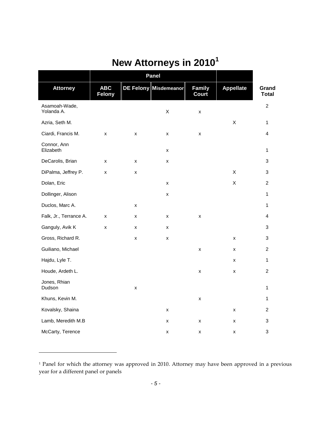# **New Attorneys in 2010<sup>1</sup>**

|                             | Panel                       |   |                       |                        |                    |                         |
|-----------------------------|-----------------------------|---|-----------------------|------------------------|--------------------|-------------------------|
| <b>Attorney</b>             | <b>ABC</b><br><b>Felony</b> |   | DE Felony Misdemeanor | Family<br><b>Court</b> | <b>Appellate</b>   | Grand<br><b>Total</b>   |
| Asamoah-Wade,<br>Yolanda A. |                             |   | Χ                     | $\pmb{\times}$         |                    | $\overline{2}$          |
| Azria, Seth M.              |                             |   |                       |                        | $\mathsf X$        | 1                       |
| Ciardi, Francis M.          | x                           | X | X                     | X                      |                    | $\overline{4}$          |
| Connor, Ann<br>Elizabeth    |                             |   | X                     |                        |                    | 1                       |
| DeCarolis, Brian            | X                           | x | X                     |                        |                    | 3                       |
| DiPalma, Jeffrey P.         | x                           | X |                       |                        | X                  | 3                       |
| Dolan, Eric                 |                             |   | $\pmb{\times}$        |                        | X                  | $\overline{c}$          |
| Dollinger, Alison           |                             |   | X                     |                        |                    | 1                       |
| Duclos, Marc A.             |                             | x |                       |                        |                    | 1                       |
| Falk, Jr., Terrance A.      | X                           | x | x                     | X                      |                    | $\overline{\mathbf{4}}$ |
| Ganguly, Avik K             | x                           | x | x                     |                        |                    | 3                       |
| Gross, Richard R.           |                             | x | X                     |                        | x                  | 3                       |
| Guiliano, Michael           |                             |   |                       | X                      | X                  | $\overline{c}$          |
| Hajdu, Lyle T.              |                             |   |                       |                        | X                  | $\mathbf{1}$            |
| Houde, Ardeth L.            |                             |   |                       | X                      | $\pmb{\mathsf{X}}$ | $\overline{c}$          |
| Jones, Rhian<br>Dudson      |                             | x |                       |                        |                    | 1                       |
| Khuns, Kevin M.             |                             |   |                       | X                      |                    | 1                       |
| Kovalsky, Shaina            |                             |   | $\pmb{\times}$        |                        | X                  | $\overline{c}$          |
| Lamb, Meredith M.B          |                             |   | x                     | x                      | X                  | 3                       |
| McCarty, Terence            |                             |   | $\pmb{\mathsf{X}}$    | x                      | X                  | 3                       |

<sup>&</sup>lt;sup>1</sup> Panel for which the attorney was approved in 2010. Attorney may have been approved in a previous year for a different panel or panels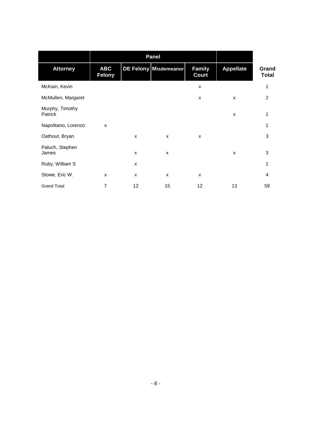|                            |                             | <b>Panel</b> |                       |                        |                  |                       |
|----------------------------|-----------------------------|--------------|-----------------------|------------------------|------------------|-----------------------|
| <b>Attorney</b>            | <b>ABC</b><br><b>Felony</b> |              | DE Felony Misdemeanor | <b>Family</b><br>Court | <b>Appellate</b> | Grand<br><b>Total</b> |
| McKain, Kevin              |                             |              |                       | X                      |                  | 1                     |
| McMullen, Margaret         |                             |              |                       | X                      | X                | 2                     |
| Murphy, Timothy<br>Patrick |                             |              |                       |                        | $\mathsf{x}$     | 1                     |
| Napolitano, Lorenzo        | X                           |              |                       |                        |                  | 1                     |
| Oathout, Bryan             |                             | X            | X                     | X                      |                  | 3                     |
| Paluch, Stephen<br>James   |                             | X            | X                     |                        | $\mathsf{x}$     | 3                     |
| Ruby, William S            |                             | X            |                       |                        |                  | 1                     |
| Stowe, Eric W.             | X                           | $\mathsf{x}$ | $\mathsf{x}$          | X                      |                  | 4                     |
| <b>Grand Total</b>         | $\overline{7}$              | 12           | 15                    | 12                     | 13               | 59                    |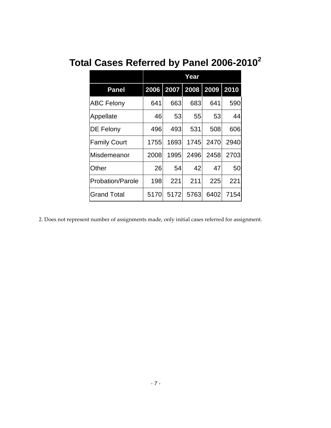# **Total Cases Referred by Panel 2006-2010<sup>2</sup>**

|                         | Year |           |      |           |      |
|-------------------------|------|-----------|------|-----------|------|
| <b>Panel</b>            | 2006 | 2007 2008 |      | 2009 2010 |      |
| <b>ABC Felony</b>       | 641  | 663       | 683  | 641       | 590  |
| Appellate               | 46   | 53        | 55   | 53        | 44   |
| DE Felony               | 496  | 493       | 531  | 508       | 606  |
| <b>Family Court</b>     | 1755 | 1693      | 1745 | 2470      | 2940 |
| Misdemeanor             | 2008 | 1995      | 2496 | 2458      | 2703 |
| Other                   | 26   | 54        | 42   | 47        | 50   |
| <b>Probation/Parole</b> | 198  | 221       | 211  | 225       | 221  |
| <b>Grand Total</b>      | 5170 | 5172      | 5763 | 6402      | 7154 |

2. Does not represent number of assignments made, only initial cases referred for assignment.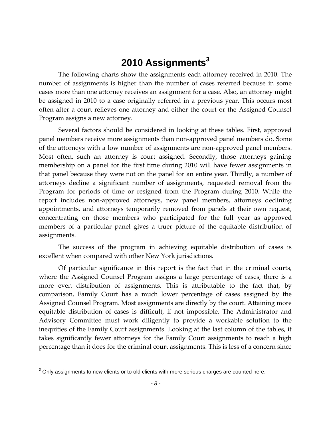### **2010 Assignments<sup>3</sup>**

The following charts show the assignments each attorney received in 2010. The number of assignments is higher than the number of cases referred because in some cases more than one attorney receives an assignment for a case. Also, an attorney might be assigned in 2010 to a case originally referred in a previous year. This occurs most often after a court relieves one attorney and either the court or the Assigned Counsel Program assigns a new attorney.

Several factors should be considered in looking at these tables. First, approved panel members receive more assignments than non-approved panel members do. Some of the attorneys with a low number of assignments are non-approved panel members. Most often, such an attorney is court assigned. Secondly, those attorneys gaining membership on a panel for the first time during 2010 will have fewer assignments in that panel because they were not on the panel for an entire year. Thirdly, a number of attorneys decline a significant number of assignments, requested removal from the Program for periods of time or resigned from the Program during 2010. While the report includes non-approved attorneys, new panel members, attorneys declining appointments, and attorneys temporarily removed from panels at their own request, concentrating on those members who participated for the full year as approved members of a particular panel gives a truer picture of the equitable distribution of assignments.

The success of the program in achieving equitable distribution of cases is excellent when compared with other New York jurisdictions.

Of particular significance in this report is the fact that in the criminal courts, where the Assigned Counsel Program assigns a large percentage of cases, there is a more even distribution of assignments. This is attributable to the fact that, by comparison, Family Court has a much lower percentage of cases assigned by the Assigned Counsel Program. Most assignments are directly by the court. Attaining more equitable distribution of cases is difficult, if not impossible. The Administrator and Advisory Committee must work diligently to provide a workable solution to the inequities of the Family Court assignments. Looking at the last column of the tables, it takes significantly fewer attorneys for the Family Court assignments to reach a high percentage than it does for the criminal court assignments. This is less of a concern since

 $3$  Only assignments to new clients or to old clients with more serious charges are counted here.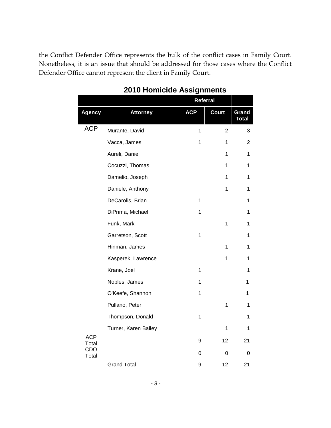the Conflict Defender Office represents the bulk of the conflict cases in Family Court. Nonetheless, it is an issue that should be addressed for those cases where the Conflict Defender Office cannot represent the client in Family Court.

|                     |                      | <b>Referral</b> |                |                       |
|---------------------|----------------------|-----------------|----------------|-----------------------|
| <b>Agency</b>       | <b>Attorney</b>      | <b>ACP</b>      | <b>Court</b>   | Grand<br><b>Total</b> |
| <b>ACP</b>          | Murante, David       | 1               | $\overline{2}$ | 3                     |
|                     | Vacca, James         | 1               | 1              | $\overline{2}$        |
|                     | Aureli, Daniel       |                 | 1              | 1                     |
|                     | Cocuzzi, Thomas      |                 | 1              | 1                     |
|                     | Damelio, Joseph      |                 | 1              | 1                     |
|                     | Daniele, Anthony     |                 | 1              | 1                     |
|                     | DeCarolis, Brian     | 1               |                | 1                     |
|                     | DiPrima, Michael     | 1               |                | 1                     |
|                     | Funk, Mark           |                 | 1              | 1                     |
|                     | Garretson, Scott     | $\mathbf 1$     |                | 1                     |
|                     | Hinman, James        |                 | 1              | 1                     |
|                     | Kasperek, Lawrence   |                 | 1              | 1                     |
|                     | Krane, Joel          | 1               |                | 1                     |
|                     | Nobles, James        | 1               |                | 1                     |
|                     | O'Keefe, Shannon     | 1               |                | 1                     |
|                     | Pullano, Peter       |                 | 1              | 1                     |
|                     | Thompson, Donald     | 1               |                | 1                     |
|                     | Turner, Karen Bailey |                 | 1              | 1                     |
| <b>ACP</b><br>Total |                      | 9               | 12             | 21                    |
| CDO<br>Total        |                      | 0               | 0              | 0                     |
|                     | <b>Grand Total</b>   | 9               | 12             | 21                    |

#### **2010 Homicide Assignments**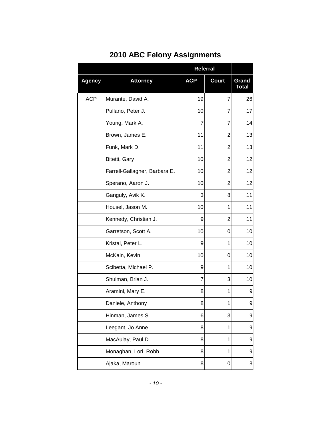|               |                               | <b>Referral</b> |              |                       |
|---------------|-------------------------------|-----------------|--------------|-----------------------|
| <b>Agency</b> | <b>Attorney</b>               | <b>ACP</b>      | <b>Court</b> | Grand<br><b>Total</b> |
| <b>ACP</b>    | Murante, David A.             | 19              | 7            | 26                    |
|               | Pullano, Peter J.             | 10              | 7            | 17                    |
|               | Young, Mark A.                | 7               | 7            | 14                    |
|               | Brown, James E.               | 11              | 2            | 13                    |
|               | Funk, Mark D.                 | 11              | 2            | 13                    |
|               | Bitetti, Gary                 | 10              | 2            | 12                    |
|               | Farrell-Gallagher, Barbara E. | 10              | 2            | 12                    |
|               | Sperano, Aaron J.             | 10              | 2            | 12                    |
|               | Ganguly, Avik K.              | 3               | 8            | 11                    |
|               | Housel, Jason M.              | 10              | 1            | 11                    |
|               | Kennedy, Christian J.         | 9               | 2            | 11                    |
|               | Garretson, Scott A.           | 10              | 0            | 10                    |
|               | Kristal, Peter L.             | 9               | 1            | 10                    |
|               | McKain, Kevin                 | 10              | 0            | 10                    |
|               | Scibetta, Michael P.          | 9               | 1            | 10                    |
|               | Shulman, Brian J.             | 7               | 3            | 10                    |
|               | Aramini, Mary E.              | 8               | 1            | 9                     |
|               | Daniele, Anthony              | 8               | 1            | 9                     |
|               | Hinman, James S.              | 6               | 3            | 9                     |
|               | Leegant, Jo Anne              | 8               | 1            | 9                     |
|               | MacAulay, Paul D.             | 8               | 1            | 9                     |
|               | Monaghan, Lori Robb           | 8               | 1            | 9                     |
|               | Ajaka, Maroun                 | 8               | 0            | 8                     |

### **2010 ABC Felony Assignments**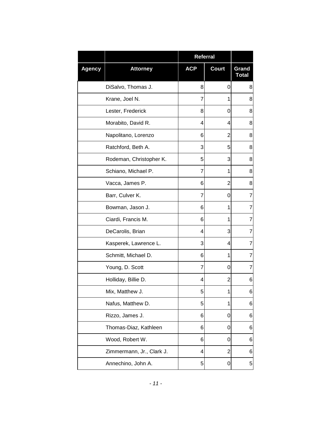|               |                           | Referral   |                |                       |
|---------------|---------------------------|------------|----------------|-----------------------|
| <b>Agency</b> | <b>Attorney</b>           | <b>ACP</b> | <b>Court</b>   | Grand<br><b>Total</b> |
|               | DiSalvo, Thomas J.        | 8          | 0              | 8                     |
|               | Krane, Joel N.            | 7          | 1              | 8                     |
|               | Lester, Frederick         | 8          | 0              | 8                     |
|               | Morabito, David R.        | 4          | 4              | 8                     |
|               | Napolitano, Lorenzo       | 6          | 2              | 8                     |
|               | Ratchford, Beth A.        | 3          | 5              | 8                     |
|               | Rodeman, Christopher K.   | 5          | 3              | 8                     |
|               | Schiano, Michael P.       | 7          | 1              | 8                     |
|               | Vacca, James P.           | 6          | 2              | 8                     |
|               | Barr, Culver K.           | 7          | 0              | $\overline{7}$        |
|               | Bowman, Jason J.          | 6          | 1              | $\overline{7}$        |
|               | Ciardi, Francis M.        | 6          | 1              | $\overline{7}$        |
|               | DeCarolis, Brian          | 4          | 3              | $\overline{7}$        |
|               | Kasperek, Lawrence L.     | 3          | 4              | 7                     |
|               | Schmitt, Michael D.       | 6          | 1              | 7                     |
|               | Young, D. Scott           | 7          | 0              | 7                     |
|               | Holliday, Billie D.       | 4          | 2              | 6                     |
|               | Mix, Matthew J.           | 5          | 1              | 6                     |
|               | Nafus, Matthew D.         | 5          | 1              | 6                     |
|               | Rizzo, James J.           | 6          | 0              | 6                     |
|               | Thomas-Diaz, Kathleen     | 6          | 0              | 6                     |
|               | Wood, Robert W.           | 6          | 0              | 6                     |
|               | Zimmermann, Jr., Clark J. | 4          | $\overline{2}$ | 6                     |
|               | Annechino, John A.        | 5          | 0              | 5                     |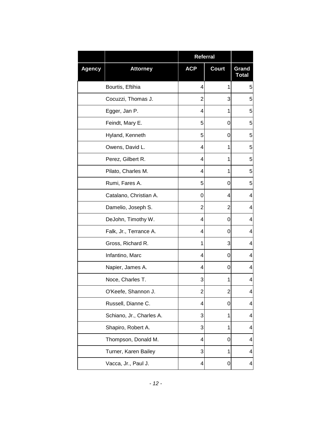|               |                          | Referral       |                |                       |
|---------------|--------------------------|----------------|----------------|-----------------------|
| <b>Agency</b> | <b>Attorney</b>          | <b>ACP</b>     | <b>Court</b>   | Grand<br><b>Total</b> |
|               | Bourtis, Eftihia         | 4              | 1              | 5                     |
|               | Cocuzzi, Thomas J.       | 2              | 3              | 5                     |
|               | Egger, Jan P.            | 4              | 1              | 5                     |
|               | Feindt, Mary E.          | 5              | 0              | 5                     |
|               | Hyland, Kenneth          | 5              | 0              | 5                     |
|               | Owens, David L.          | 4              | 1              | 5                     |
|               | Perez, Gilbert R.        | 4              | 1              | 5                     |
|               | Pilato, Charles M.       | 4              | 1              | 5                     |
|               | Rumi, Fares A.           | 5              | 0              | 5                     |
|               | Catalano, Christian A.   | 0              | 4              | 4                     |
|               | Damelio, Joseph S.       | 2              | 2              | 4                     |
|               | DeJohn, Timothy W.       | 4              | 0              | 4                     |
|               | Falk, Jr., Terrance A.   | 4              | 0              | 4                     |
|               | Gross, Richard R.        | 1              | 3              | 4                     |
|               | Infantino, Marc          | 4              | 0              | 4                     |
|               | Napier, James A.         | 4              | 0              | 4                     |
|               | Noce, Charles T.         | 3              | 1              | 4                     |
|               | O'Keefe, Shannon J.      | $\overline{2}$ | $\overline{2}$ | 4                     |
|               | Russell, Dianne C.       | 4              | 0              | 4                     |
|               | Schiano, Jr., Charles A. | 3              | 1              | 4                     |
|               | Shapiro, Robert A.       | 3              | 1              | 4                     |
|               | Thompson, Donald M.      | 4              | 0              | 4                     |
|               | Turner, Karen Bailey     | 3              | 1              | 4                     |
|               | Vacca, Jr., Paul J.      | 4              | 0              | 4                     |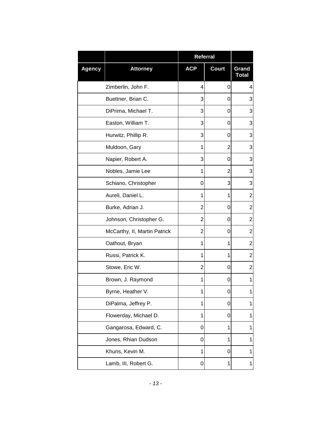|               |                              | <b>Referral</b> |                |                       |
|---------------|------------------------------|-----------------|----------------|-----------------------|
| <b>Agency</b> | <b>Attorney</b>              | <b>ACP</b>      | <b>Court</b>   | Grand<br><b>Total</b> |
|               | Zimberlin, John F.           | 4               | 0              | 4                     |
|               | Buettner, Brian C.           | 3               | 0              | 3                     |
|               | DiPrima, Michael T.          | 3               | 0              | 3                     |
|               | Easton, William T.           | 3               | 0              | 3                     |
|               | Hurwitz, Phillip R.          | 3               | 0              | 3                     |
|               | Muldoon, Gary                | 1               | $\overline{2}$ | 3                     |
|               | Napier, Robert A.            | 3               | 0              | 3                     |
|               | Nobles, Jamie Lee            | 1               | $\overline{2}$ | 3                     |
|               | Schiano, Christopher         | 0               | 3              | 3                     |
|               | Aureli, Daniel L.            | 1               | 1              | $\overline{2}$        |
|               | Burke, Adrian J.             | 2               | 0              | $\overline{2}$        |
|               | Johnson, Christopher G.      | $\overline{2}$  | 0              | $\overline{2}$        |
|               | McCarthy, II, Martin Patrick | 2               | 0              | $\mathbf 2$           |
|               | Oathout, Bryan               | 1               | 1              | $\boldsymbol{2}$      |
|               | Russi, Patrick K.            | 1               | 1              | $\overline{2}$        |
|               | Stowe, Eric W.               | $\overline{2}$  | 0              | $\overline{2}$        |
|               | Brown, J. Raymond            | 1               | 0              | 1                     |
|               | Byrne, Heather V.            | 1               | O              | 1                     |
|               | DiPalma, Jeffrey P.          | 1               | 0              | 1                     |
|               | Flowerday, Michael D.        | 1               | 0              | 1                     |
|               | Gangarosa, Edward, C.        | 0               | 1              | 1                     |
|               | Jones, Rhian Dudson          | 0               | 1              | 1                     |
|               | Khuns, Kevin M.              | 1               | 0              | 1                     |
|               | Lamb, III, Robert G.         | 0               | 1              | 1                     |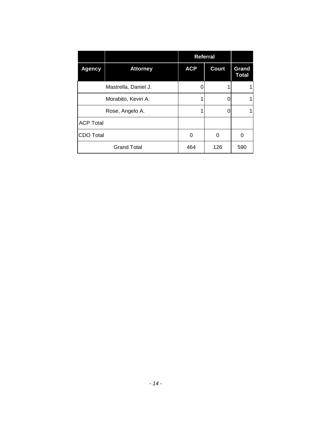|                  | <b>Referral</b>      |            |              |                       |
|------------------|----------------------|------------|--------------|-----------------------|
| <b>Agency</b>    | <b>Attorney</b>      | <b>ACP</b> | <b>Court</b> | Grand<br><b>Total</b> |
|                  | Mastrella, Daniel J. |            |              |                       |
|                  | Morabito, Kevin A.   |            |              | 1                     |
|                  | Rose, Angelo A.      |            | O            |                       |
| <b>ACP Total</b> |                      |            |              |                       |
| CDO Total        |                      | 0          | 0            | 0                     |
|                  | <b>Grand Total</b>   | 464        | 126          | 590                   |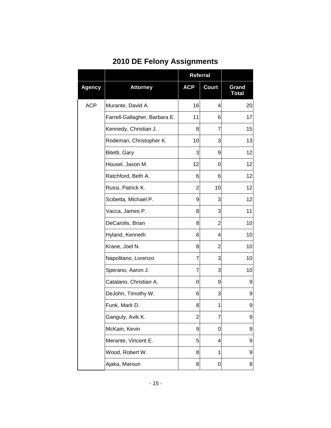|  |  |  | <b>2010 DE Felony Assignments</b> |
|--|--|--|-----------------------------------|
|--|--|--|-----------------------------------|

|               |                               | Referral       |              |                       |
|---------------|-------------------------------|----------------|--------------|-----------------------|
| <b>Agency</b> | <b>Attorney</b>               | <b>ACP</b>     | <b>Court</b> | Grand<br><b>Total</b> |
| <b>ACP</b>    | Murante, David A.             | 16             | 4            | 20                    |
|               | Farrell-Gallagher, Barbara E. | 11             | 6            | 17                    |
|               | Kennedy, Christian J.         | 8              | 7            | 15                    |
|               | Rodeman, Christopher K.       | 10             | 3            | 13                    |
|               | Bitetti, Gary                 | 3              | 9            | 12                    |
|               | Housel, Jason M.              | 12             | 0            | 12                    |
|               | Ratchford, Beth A.            | 6              | 6            | 12                    |
|               | Russi, Patrick K.             | 2              | 10           | 12                    |
|               | Scibetta, Michael P.          | 9              | 3            | 12                    |
|               | Vacca, James P.               | 8              | 3            | 11                    |
|               | DeCarolis, Brian              | 8              | 2            | 10                    |
|               | Hyland, Kenneth               | 6              | 4            | 10                    |
|               | Krane, Joel N.                | 8              | 2            | 10                    |
|               | Napolitano, Lorenzo           | 7              | 3            | 10                    |
|               | Sperano, Aaron J.             | 7              | 3            | 10                    |
|               | Catalano, Christian A.        | 0              | 9            | 9                     |
|               | DeJohn, Timothy W.            | 6              | 3            | 9                     |
|               | Funk, Mark D.                 | 8              | 1            | 9                     |
|               | Ganguly, Avik K.              | $\overline{2}$ | 7            | 9                     |
|               | McKain, Kevin                 | 9              | 0            | 9                     |
|               | Merante, Vincent E.           | 5              | 4            | 9                     |
|               | Wood, Robert W.               | 8              | 1            | 9                     |
|               | Ajaka, Maroun                 | 8              | 0            | 8                     |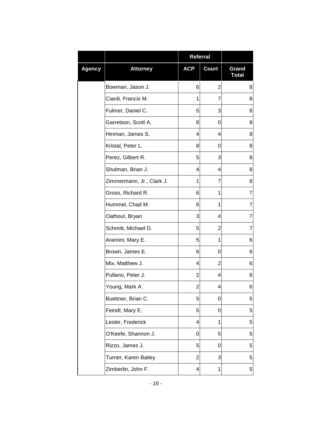|               |                           | Referral       |              |                       |
|---------------|---------------------------|----------------|--------------|-----------------------|
| <b>Agency</b> | <b>Attorney</b>           | <b>ACP</b>     | <b>Court</b> | Grand<br><b>Total</b> |
|               | Bowman, Jason J.          | 6              | 2            | 8                     |
|               | Ciardi, Francis M.        | 1              | 7            | 8                     |
|               | Fulmer, Daniel C.         | 5              | 3            | 8                     |
|               | Garretson, Scott A.       | 8              | 0            | 8                     |
|               | Hinman, James S.          | 4              | 4            | 8                     |
|               | Kristal, Peter L.         | 8              | 0            | 8                     |
|               | Perez, Gilbert R.         | 5              | 3            | 8                     |
|               | Shulman, Brian J.         | 4              | 4            | 8                     |
|               | Zimmermann, Jr., Clark J. | 1              | 7            | 8                     |
|               | Gross, Richard R.         | 6              | 1            | $\overline{7}$        |
|               | Hummel, Chad M.           | 6              | 1            | 7                     |
|               | Oathout, Bryan            | 3              | 4            | 7                     |
|               | Schmitt, Michael D.       | 5              | 2            | $\overline{7}$        |
|               | Aramini, Mary E.          | 5              | 1            | 6                     |
|               | Brown, James E.           | 6              | 0            | 6                     |
|               | Mix, Matthew J.           | 4              | 2            | 6                     |
|               | Pullano, Peter J.         | $\overline{2}$ | 4            | 6                     |
|               | Young, Mark A.            | $\overline{2}$ | 4            | 6                     |
|               | Buettner, Brian C.        | 5              | 0            | 5                     |
|               | Feindt, Mary E.           | 5              | 0            | 5                     |
|               | Lester, Frederick         | 4              | 1            | 5                     |
|               | O'Keefe, Shannon J.       | 0              | 5            | 5                     |
|               | Rizzo, James J.           | 5              | 0            | 5                     |
|               | Turner, Karen Bailey      | $\overline{2}$ | 3            | 5                     |
|               | Zimberlin, John F.        | 4              | 1            | 5                     |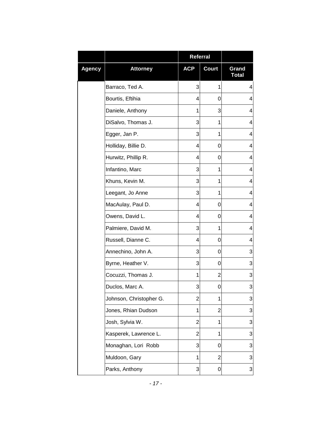|               |                         | Referral       |                |                       |
|---------------|-------------------------|----------------|----------------|-----------------------|
| <b>Agency</b> | <b>Attorney</b>         | <b>ACP</b>     | Court          | Grand<br><b>Total</b> |
|               | Barraco, Ted A.         | 3              | 1              | 4                     |
|               | Bourtis, Eftihia        | 4              | 0              | 4                     |
|               | Daniele, Anthony        | 1              | 3              | 4                     |
|               | DiSalvo, Thomas J.      | 3              | 1              | 4                     |
|               | Egger, Jan P.           | 3              | 1              | 4                     |
|               | Holliday, Billie D.     | 4              | 0              | 4                     |
|               | Hurwitz, Phillip R.     | 4              | 0              | 4                     |
|               | Infantino, Marc         | 3              | 1              | 4                     |
|               | Khuns, Kevin M.         | 3              | 1              | 4                     |
|               | Leegant, Jo Anne        | 3              | 1              | 4                     |
|               | MacAulay, Paul D.       | 4              | 0              | 4                     |
|               | Owens, David L.         | 4              | 0              | 4                     |
|               | Palmiere, David M.      | 3              | 1              | 4                     |
|               | Russell, Dianne C.      | 4              | 0              | 4                     |
|               | Annechino, John A.      | 3              | 0              | 3                     |
|               | Byrne, Heather V.       | 3              | 0              | 3                     |
|               | Cocuzzi, Thomas J.      | 1              | 2              | 3                     |
|               | Duclos, Marc A.         | 3              | 0              | 3                     |
|               | Johnson, Christopher G. | $\overline{2}$ | 1              | 3                     |
|               | Jones, Rhian Dudson     | 1              | 2              | 3                     |
|               | Josh, Sylvia W.         | $\overline{2}$ | 1              | 3                     |
|               | Kasperek, Lawrence L.   | $\overline{2}$ | 1              | 3                     |
|               | Monaghan, Lori Robb     | 3              | 0              | 3                     |
|               | Muldoon, Gary           | 1              | $\overline{2}$ | 3                     |
|               | Parks, Anthony          | 3              | 0              | $\frac{3}{2}$         |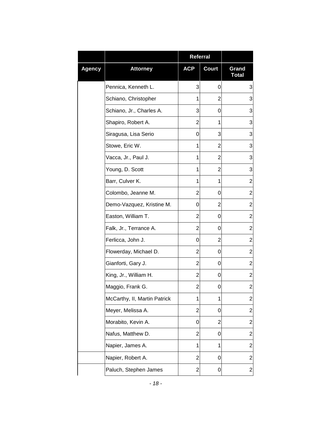|               |                              | <b>Referral</b> |                |                         |
|---------------|------------------------------|-----------------|----------------|-------------------------|
| <b>Agency</b> | <b>Attorney</b>              | <b>ACP</b>      | <b>Court</b>   | Grand<br><b>Total</b>   |
|               | Pennica, Kenneth L.          | 3               | 0              | 3                       |
|               | Schiano, Christopher         | 1               | 2              | 3                       |
|               | Schiano, Jr., Charles A.     | 3               | 0              | 3                       |
|               | Shapiro, Robert A.           | 2               | 1              | 3                       |
|               | Siragusa, Lisa Serio         | 0               | 3              | 3                       |
|               | Stowe, Eric W.               | 1               | 2              | 3                       |
|               | Vacca, Jr., Paul J.          | 1               | 2              | 3                       |
|               | Young, D. Scott              | 1               | 2              | 3                       |
|               | Barr, Culver K.              | 1               | 1              | $\overline{2}$          |
|               | Colombo, Jeanne M.           | $\overline{2}$  | 0              | $\overline{c}$          |
|               | Demo-Vazquez, Kristine M.    | 0               | $\overline{2}$ | $\overline{c}$          |
|               | Easton, William T.           | 2               | 0              | $\overline{c}$          |
|               | Falk, Jr., Terrance A.       | $\overline{2}$  | 0              | $\overline{2}$          |
|               | Ferlicca, John J.            | 0               | 2              | $\overline{c}$          |
|               | Flowerday, Michael D.        | 2               | 0              | $\overline{c}$          |
|               | Gianforti, Gary J.           | 2               | 0              | $\overline{c}$          |
|               | King, Jr., William H.        | 2               | 0              | $\overline{c}$          |
|               | Maggio, Frank G.             | 2               | 0              | 2                       |
|               | McCarthy, II, Martin Patrick | 1               | 1              | $\overline{\mathbf{c}}$ |
|               | Meyer, Melissa A.            | 2               | 0              | $\overline{c}$          |
|               | Morabito, Kevin A.           | 0               | $\overline{c}$ | $\overline{2}$          |
|               | Nafus, Matthew D.            | 2               | 0              | $\overline{c}$          |
|               | Napier, James A.             | 1               | 1              | $\overline{c}$          |
|               | Napier, Robert A.            | $\overline{2}$  | 0              | $\overline{c}$          |
|               | Paluch, Stephen James        | $\overline{2}$  | 0              | $\overline{\mathbf{c}}$ |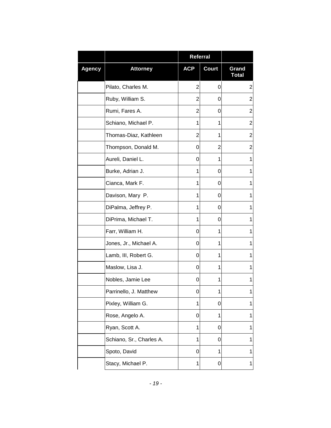|               |                          | Referral       |                |                       |
|---------------|--------------------------|----------------|----------------|-----------------------|
| <b>Agency</b> | <b>Attorney</b>          | <b>ACP</b>     | Court          | Grand<br><b>Total</b> |
|               | Pilato, Charles M.       | $\overline{2}$ | 0              | $\overline{c}$        |
|               | Ruby, William S.         | $\overline{2}$ | 0              | $\overline{2}$        |
|               | Rumi, Fares A.           | $\overline{2}$ | 0              | $\overline{2}$        |
|               | Schiano, Michael P.      | 1              | 1              | $\overline{2}$        |
|               | Thomas-Diaz, Kathleen    | $\overline{2}$ | 1              | $\overline{2}$        |
|               | Thompson, Donald M.      | 0              | $\overline{2}$ | $\overline{2}$        |
|               | Aureli, Daniel L.        | 0              | 1              | 1                     |
|               | Burke, Adrian J.         | 1              | 0              | 1                     |
|               | Cianca, Mark F.          | 1              | 0              | 1                     |
|               | Davison, Mary P.         | 1              | 0              | 1                     |
|               | DiPalma, Jeffrey P.      | 1              | 0              | 1                     |
|               | DiPrima, Michael T.      | 1              | 0              | 1                     |
|               | Farr, William H.         | 0              | 1              | 1                     |
|               | Jones, Jr., Michael A.   | 0              | 1              | 1                     |
|               | Lamb, III, Robert G.     | 0              | 1              | 1                     |
|               | Maslow, Lisa J.          | 0              | 1              | 1                     |
|               | Nobles, Jamie Lee        | 0              | 1              | 1                     |
|               | Parrinello, J. Matthew   | 0              | 1              | 1                     |
|               | Pixley, William G.       | 1              | 0              | 1                     |
|               | Rose, Angelo A.          | 0              | 1              | 1                     |
|               | Ryan, Scott A.           | 1              | 0              | 1                     |
|               | Schiano, Sr., Charles A. | 1              | 0              | 1                     |
|               | Spoto, David             | 0              | 1              | 1                     |
|               | Stacy, Michael P.        | 1              | 0              | 1                     |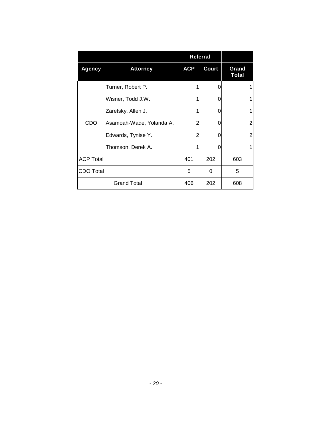|                  |                          | <b>Referral</b> |              |                       |
|------------------|--------------------------|-----------------|--------------|-----------------------|
| <b>Agency</b>    | <b>Attorney</b>          | <b>ACP</b>      | <b>Court</b> | Grand<br><b>Total</b> |
|                  | Turner, Robert P.        |                 | O            |                       |
|                  | Wisner, Todd J.W.        |                 | 0            |                       |
|                  | Zaretsky, Allen J.       |                 | 0            |                       |
| CDO              | Asamoah-Wade, Yolanda A. | $\overline{2}$  | 0            | 2                     |
|                  | Edwards, Tynise Y.       | $\overline{2}$  | 0            | 2                     |
|                  | Thomson, Derek A.        |                 | 0            |                       |
| <b>ACP Total</b> |                          | 401             | 202          | 603                   |
| <b>CDO Total</b> |                          | 5               | 0            | 5                     |
|                  | <b>Grand Total</b>       | 406             | 202          | 608                   |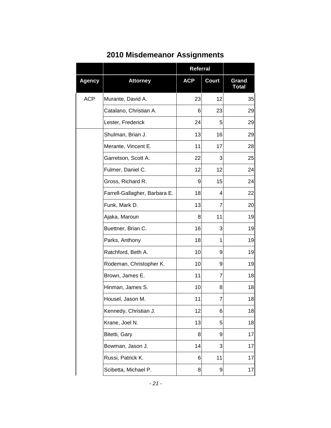|               |                               | Referral   |       |                       |
|---------------|-------------------------------|------------|-------|-----------------------|
| <b>Agency</b> | <b>Attorney</b>               | <b>ACP</b> | Court | Grand<br><b>Total</b> |
| <b>ACP</b>    | Murante, David A.             | 23         | 12    | 35                    |
|               | Catalano, Christian A.        | 6          | 23    | 29                    |
|               | Lester, Frederick             | 24         | 5     | 29                    |
|               | Shulman, Brian J.             | 13         | 16    | 29                    |
|               | Merante, Vincent E.           | 11         | 17    | 28                    |
|               | Garretson, Scott A.           | 22         | 3     | 25                    |
|               | Fulmer, Daniel C.             | 12         | 12    | 24                    |
|               | Gross, Richard R.             | 9          | 15    | 24                    |
|               | Farrell-Gallagher, Barbara E. | 18         | 4     | 22                    |
|               | Funk, Mark D.                 | 13         | 7     | 20                    |
|               | Ajaka, Maroun                 | 8          | 11    | 19                    |
|               | Buettner, Brian C.            | 16         | 3     | 19                    |
|               | Parks, Anthony                | 18         | 1     | 19                    |
|               | Ratchford, Beth A.            | 10         | 9     | 19                    |
|               | Rodeman, Christopher K.       | 10         | 9     | 19                    |
|               | Brown, James E.               | 11         | 7     | 18                    |
|               | Hinman, James S.              | 10         | 8     | 18                    |
|               | Housel, Jason M.              | 11         | 7     | 18                    |
|               | Kennedy, Christian J.         | 12         | 6     | 18                    |
|               | Krane, Joel N.                | 13         | 5     | 18                    |
|               | Bitetti, Gary                 | 8          | 9     | 17                    |
|               | Bowman, Jason J.              | 14         | 3     | 17                    |
|               | Russi, Patrick K.             | 6          | 11    | 17                    |
|               | Scibetta, Michael P.          | 8          | 9     | 17                    |

### **2010 Misdemeanor Assignments**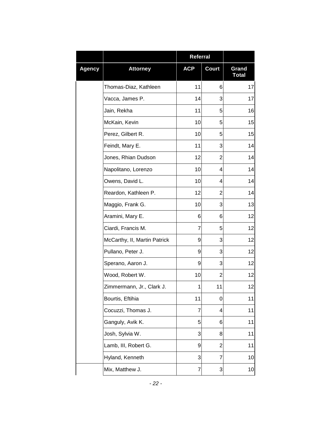|               |                              | Referral   |                |                       |
|---------------|------------------------------|------------|----------------|-----------------------|
| <b>Agency</b> | <b>Attorney</b>              | <b>ACP</b> | <b>Court</b>   | Grand<br><b>Total</b> |
|               | Thomas-Diaz, Kathleen        | 11         | 6              | 17                    |
|               | Vacca, James P.              | 14         | 3              | 17                    |
|               | Jain, Rekha                  | 11         | 5              | 16                    |
|               | McKain, Kevin                | 10         | 5              | 15                    |
|               | Perez, Gilbert R.            | 10         | 5              | 15                    |
|               | Feindt, Mary E.              | 11         | 3              | 14                    |
|               | Jones, Rhian Dudson          | 12         | $\overline{2}$ | 14                    |
|               | Napolitano, Lorenzo          | 10         | 4              | 14                    |
|               | Owens, David L.              | 10         | 4              | 14                    |
|               | Reardon, Kathleen P.         | 12         | $\overline{2}$ | 14                    |
|               | Maggio, Frank G.             | 10         | 3              | 13                    |
|               | Aramini, Mary E.             | 6          | 6              | 12                    |
|               | Ciardi, Francis M.           | 7          | 5              | 12                    |
|               | McCarthy, II, Martin Patrick | 9          | 3              | 12                    |
|               | Pullano, Peter J.            | 9          | 3              | 12                    |
|               | Sperano, Aaron J.            | 9          | 3              | 12                    |
|               | Wood, Robert W.              | 10         | 2              | 12                    |
|               | Zimmermann, Jr., Clark J.    | 1          | 11             | 12                    |
|               | Bourtis, Eftihia             | 11         | 0              | 11                    |
|               | Cocuzzi, Thomas J.           | 7          | 4              | 11                    |
|               | Ganguly, Avik K.             | 5          | 6              | 11                    |
|               | Josh, Sylvia W.              | 3          | 8              | 11                    |
|               | Lamb, III, Robert G.         | 9          | $\overline{c}$ | 11                    |
|               | Hyland, Kenneth              | 3          | 7              | 10                    |
|               | Mix, Matthew J.              | 7          | 3              | 10                    |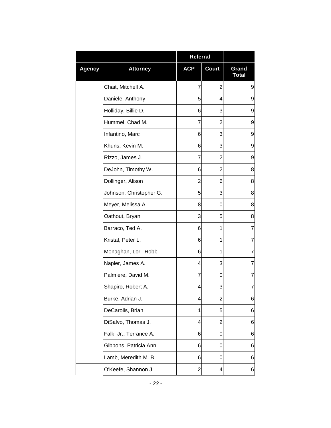|               |                         | <b>Referral</b>         |                |                       |
|---------------|-------------------------|-------------------------|----------------|-----------------------|
| <b>Agency</b> | <b>Attorney</b>         | <b>ACP</b>              | Court          | Grand<br><b>Total</b> |
|               | Chait, Mitchell A.      | 7                       | 2              | 9                     |
|               | Daniele, Anthony        | 5                       | 4              | 9                     |
|               | Holliday, Billie D.     | 6                       | 3              | 9                     |
|               | Hummel, Chad M.         | 7                       | 2              | 9                     |
|               | Infantino, Marc         | 6                       | 3              | 9                     |
|               | Khuns, Kevin M.         | 6                       | 3              | 9                     |
|               | Rizzo, James J.         | 7                       | $\overline{2}$ | 9                     |
|               | DeJohn, Timothy W.      | 6                       | 2              | 8                     |
|               | Dollinger, Alison       | 2                       | 6              | 8                     |
|               | Johnson, Christopher G. | 5                       | 3              | 8                     |
|               | Meyer, Melissa A.       | 8                       | 0              | 8                     |
|               | Oathout, Bryan          | 3                       | 5              | 8                     |
|               | Barraco, Ted A.         | 6                       | 1              | 7                     |
|               | Kristal, Peter L.       | 6                       | 1              | 7                     |
|               | Monaghan, Lori Robb     | 6                       | 1              | $\overline{7}$        |
|               | Napier, James A.        | 4                       | 3              | $\overline{7}$        |
|               | Palmiere, David M.      | 7                       | 0              | 7                     |
|               | Shapiro, Robert A.      | 4                       | 3              | 7                     |
|               | Burke, Adrian J.        | 4                       | $\overline{2}$ | 6                     |
|               | DeCarolis, Brian        | 1                       | 5              | 6                     |
|               | DiSalvo, Thomas J.      | 4                       | 2              | 6                     |
|               | Falk, Jr., Terrance A.  | 6                       | 0              | 6                     |
|               | Gibbons, Patricia Ann   | 6                       | 0              | 6                     |
|               | Lamb, Meredith M. B.    | 6                       | 0              | 6                     |
|               | O'Keefe, Shannon J.     | $\overline{\mathbf{c}}$ | 4              | 6                     |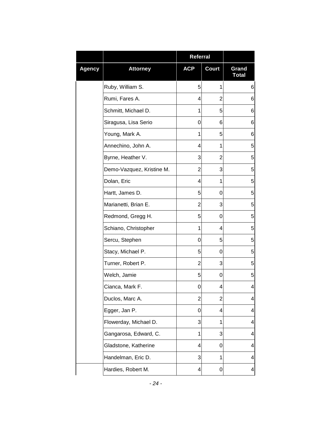|               |                           | Referral       |                |                       |
|---------------|---------------------------|----------------|----------------|-----------------------|
| <b>Agency</b> | <b>Attorney</b>           | <b>ACP</b>     | <b>Court</b>   | Grand<br><b>Total</b> |
|               | Ruby, William S.          | 5              | 1              | 6                     |
|               | Rumi, Fares A.            | 4              | $\overline{2}$ | 6                     |
|               | Schmitt, Michael D.       | 1              | 5              | 6                     |
|               | Siragusa, Lisa Serio      | 0              | 6              | 6                     |
|               | Young, Mark A.            | 1              | 5              | 6                     |
|               | Annechino, John A.        | 4              | 1              | 5                     |
|               | Byrne, Heather V.         | 3              | $\overline{2}$ | 5                     |
|               | Demo-Vazquez, Kristine M. | $\overline{2}$ | 3              | 5                     |
|               | Dolan, Eric               | 4              | 1              | 5                     |
|               | Hartt, James D.           | 5              | 0              | 5                     |
|               | Marianetti, Brian E.      | $\overline{2}$ | 3              | 5                     |
|               | Redmond, Gregg H.         | 5              | 0              | 5                     |
|               | Schiano, Christopher      | 1              | 4              | 5                     |
|               | Sercu, Stephen            | 0              | 5              | 5                     |
|               | Stacy, Michael P.         | 5              | 0              | 5                     |
|               | Turner, Robert P.         | $\overline{2}$ | 3              | 5                     |
|               | Welch, Jamie              | 5              | 0              | 5                     |
|               | Cianca, Mark F.           | 0              | 4              | 4                     |
|               | Duclos, Marc A.           | $\overline{c}$ | $\overline{c}$ | 4                     |
|               | Egger, Jan P.             | 0              | 4              | 4                     |
|               | Flowerday, Michael D.     | 3              | 1              | 4                     |
|               | Gangarosa, Edward, C.     | 1              | 3              | 4                     |
|               | Gladstone, Katherine      | 4              | 0              | 4                     |
|               | Handelman, Eric D.        | 3              | 1              | 4                     |
|               | Hardies, Robert M.        | 4              | 0              | 4                     |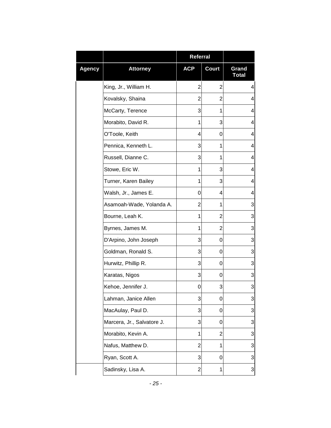|               |                            | <b>Referral</b> |                |                       |
|---------------|----------------------------|-----------------|----------------|-----------------------|
| <b>Agency</b> | <b>Attorney</b>            | <b>ACP</b>      | <b>Court</b>   | Grand<br><b>Total</b> |
|               | King, Jr., William H.      | $\overline{2}$  | $\overline{2}$ | 4                     |
|               | Kovalsky, Shaina           | 2               | $\overline{2}$ | 4                     |
|               | McCarty, Terence           | 3               | 1              | 4                     |
|               | Morabito, David R.         | 1               | 3              | 4                     |
|               | O'Toole, Keith             | 4               | 0              | 4                     |
|               | Pennica, Kenneth L.        | 3               | 1              | 4                     |
|               | Russell, Dianne C.         | 3               | 1              | 4                     |
|               | Stowe, Eric W.             | 1               | 3              | 4                     |
|               | Turner, Karen Bailey       | 1               | 3              | 4                     |
|               | Walsh, Jr., James E.       | 0               | 4              | 4                     |
|               | Asamoah-Wade, Yolanda A.   | 2               | 1              | 3                     |
|               | Bourne, Leah K.            | 1               | $\overline{2}$ | 3                     |
|               | Byrnes, James M.           | 1               | $\overline{c}$ | 3                     |
|               | D'Arpino, John Joseph      | 3               | 0              | 3                     |
|               | Goldman, Ronald S.         | 3               | 0              | 3                     |
|               | Hurwitz, Phillip R.        | 3               | 0              | 3                     |
|               | Karatas, Nigos             | 3               | 0              | 3                     |
|               | Kehoe, Jennifer J.         | 0               | 3              | 3                     |
|               | Lahman, Janice Allen       | 3               | 0              | 3                     |
|               | MacAulay, Paul D.          | 3               | 0              | 3                     |
|               | Marcera, Jr., Salvatore J. | 3               | 0              | 3                     |
|               | Morabito, Kevin A.         | 1               | $\overline{2}$ | 3                     |
|               | Nafus, Matthew D.          | $\overline{2}$  | 1              | 3                     |
|               | Ryan, Scott A.             | 3               | 0              | 3                     |
|               | Sadinsky, Lisa A.          | 2               | 1              | 3                     |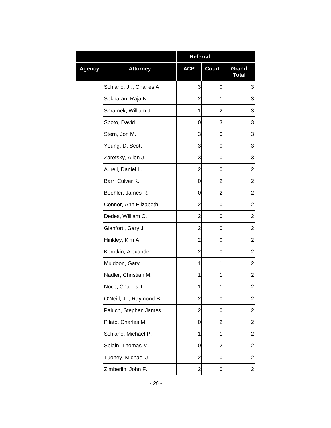|        |                          | <b>Referral</b> |       |                         |
|--------|--------------------------|-----------------|-------|-------------------------|
| Agency | <b>Attorney</b>          | <b>ACP</b>      | Court | Grand<br><b>Total</b>   |
|        | Schiano, Jr., Charles A. | 3               | 0     | 3                       |
|        | Sekharan, Raja N.        | $\overline{2}$  | 1     | 3                       |
|        | Shramek, William J.      | 1               | 2     | 3                       |
|        | Spoto, David             | 0               | 3     | 3                       |
|        | Stern, Jon M.            | 3               | 0     | 3                       |
|        | Young, D. Scott          | 3               | 0     | 3                       |
|        | Zaretsky, Allen J.       | 3               | 0     | 3                       |
|        | Aureli, Daniel L.        | 2               | 0     | $\overline{2}$          |
|        | Barr, Culver K.          | 0               | 2     | $\overline{2}$          |
|        | Boehler, James R.        | 0               | 2     | $\overline{2}$          |
|        | Connor, Ann Elizabeth    | 2               | 0     | $\overline{2}$          |
|        | Dedes, William C.        | 2               | 0     | $\overline{2}$          |
|        | Gianforti, Gary J.       | 2               | 0     | $\overline{2}$          |
|        | Hinkley, Kim A.          | $\overline{2}$  | 0     | $\overline{2}$          |
|        | Korotkin, Alexander      | 2               | 0     | $\overline{2}$          |
|        | Muldoon, Gary            | 1               | 1     | $\overline{2}$          |
|        | Nadler, Christian M.     | 1               | 1     | $\overline{2}$          |
|        | Noce, Charles T.         | 1               | 1     | $\overline{\mathbf{c}}$ |
|        | O'Neill, Jr., Raymond B. | $\overline{2}$  | 0     | $\overline{2}$          |
|        | Paluch, Stephen James    | 2               | 0     | $\overline{2}$          |
|        | Pilato, Charles M.       | 0               | 2     | $\overline{2}$          |
|        | Schiano, Michael P.      | 1               | 1     | $\overline{2}$          |
|        | Splain, Thomas M.        | 0               | 2     | $\overline{2}$          |
|        | Tuohey, Michael J.       | $\overline{2}$  | 0     | $\overline{2}$          |
|        | Zimberlin, John F.       | 2               | 0     | 2                       |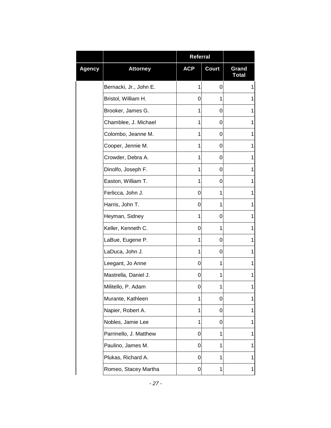|        |                        | <b>Referral</b> |              |                       |
|--------|------------------------|-----------------|--------------|-----------------------|
| Agency | <b>Attorney</b>        | <b>ACP</b>      | <b>Court</b> | Grand<br><b>Total</b> |
|        | Bernacki, Jr., John E. | 1               | 0            | 1                     |
|        | Bristol, William H.    | 0               | 1            | 1                     |
|        | Brooker, James G.      | 1               | 0            | 1                     |
|        | Chamblee, J. Michael   | 1               | 0            | 1                     |
|        | Colombo, Jeanne M.     | 1               | 0            | 1                     |
|        | Cooper, Jennie M.      | 1               | 0            | 1                     |
|        | Crowder, Debra A.      | 1               | 0            | 1                     |
|        | Dinolfo, Joseph F.     | 1               | 0            | 1                     |
|        | Easton, William T.     | 1               | 0            | 1                     |
|        | Ferlicca, John J.      | 0               | 1            | 1                     |
|        | Harris, John T.        | 0               | 1            | 1                     |
|        | Heyman, Sidney         | 1               | 0            | 1                     |
|        | Keller, Kenneth C.     | 0               | 1            | 1                     |
|        | LaBue, Eugene P.       | 1               | 0            | 1                     |
|        | LaDuca, John J.        | 1               | 0            | 1                     |
|        | Leegant, Jo Anne       | 0               | 1            | 1                     |
|        | Mastrella, Daniel J.   | 0               | 1            | 1                     |
|        | Militello, P. Adam     | 0               | 1            | 1                     |
|        | Murante, Kathleen      | 1               | 0            | 1                     |
|        | Napier, Robert A.      | 1               | 0            | 1                     |
|        | Nobles, Jamie Lee      | 1               | 0            | 1                     |
|        | Parrinello, J. Matthew | 0               | 1            | 1                     |
|        | Paulino, James M.      | 0               | 1            | 1                     |
|        | Plukas, Richard A.     | 0               | 1            | 1                     |
|        | Romeo, Stacey Martha   | 0               | 1            | 1                     |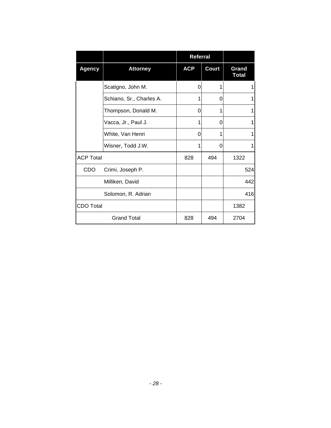|                  |                          |            | Referral     |                       |
|------------------|--------------------------|------------|--------------|-----------------------|
| <b>Agency</b>    | <b>Attorney</b>          | <b>ACP</b> | <b>Court</b> | Grand<br><b>Total</b> |
|                  | Scatigno, John M.        | 0          |              | 1                     |
|                  | Schiano, Sr., Charles A. | 1          | O            |                       |
|                  | Thompson, Donald M.      | 0          |              |                       |
|                  | Vacca, Jr., Paul J.      | 1          | O            |                       |
|                  | White, Van Henri         | 0          |              | 1                     |
|                  | Wisner, Todd J.W.        | 1          | 0            | 1                     |
| <b>ACP Total</b> |                          | 828        | 494          | 1322                  |
| CDO              | Crimi, Joseph P.         |            |              | 524                   |
|                  | Milliken, David          |            |              | 442                   |
|                  | Solomon, R. Adrian       |            |              | 416                   |
| <b>CDO Total</b> |                          |            |              | 1382                  |
|                  | <b>Grand Total</b>       | 828        | 494          | 2704                  |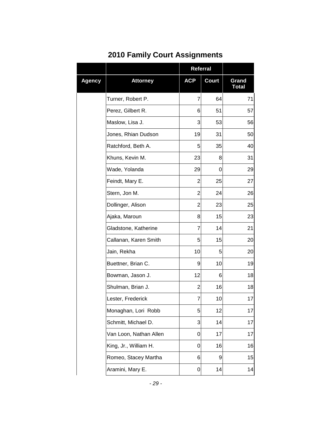### **2010 Family Court Assignments**

|               |                        | Referral       |              |                       |
|---------------|------------------------|----------------|--------------|-----------------------|
| <b>Agency</b> | <b>Attorney</b>        | <b>ACP</b>     | <b>Court</b> | Grand<br><b>Total</b> |
|               | Turner, Robert P.      | 7              | 64           | 71                    |
|               | Perez, Gilbert R.      | 6              | 51           | 57                    |
|               | Maslow, Lisa J.        | 3              | 53           | 56                    |
|               | Jones, Rhian Dudson    | 19             | 31           | 50                    |
|               | Ratchford, Beth A.     | 5              | 35           | 40                    |
|               | Khuns, Kevin M.        | 23             | 8            | 31                    |
|               | Wade, Yolanda          | 29             | 0            | 29                    |
|               | Feindt, Mary E.        | 2              | 25           | 27                    |
|               | Stern, Jon M.          | $\overline{2}$ | 24           | 26                    |
|               | Dollinger, Alison      | 2              | 23           | 25                    |
|               | Ajaka, Maroun          | 8              | 15           | 23                    |
|               | Gladstone, Katherine   | 7              | 14           | 21                    |
|               | Callanan, Karen Smith  | 5              | 15           | 20                    |
|               | Jain, Rekha            | 10             | 5            | 20                    |
|               | Buettner, Brian C.     | 9              | 10           | 19                    |
|               | Bowman, Jason J.       | 12             | 6            | 18                    |
|               | Shulman, Brian J.      | 2              | 16           | 18                    |
|               | Lester, Frederick      | 7              | 10           | 17                    |
|               | Monaghan, Lori Robb    | 5              | 12           | 17                    |
|               | Schmitt, Michael D.    | 3              | 14           | 17                    |
|               | Van Loon, Nathan Allen | 0              | 17           | 17                    |
|               | King, Jr., William H.  | 0              | 16           | 16                    |
|               | Romeo, Stacey Martha   | 6              | 9            | 15                    |
|               | Aramini, Mary E.       | 0              | 14           | 14                    |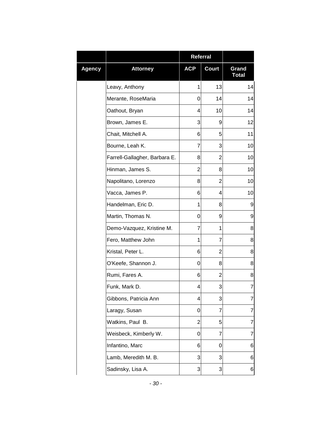|        |                               | <b>Referral</b> |                |                       |
|--------|-------------------------------|-----------------|----------------|-----------------------|
| Agency | <b>Attorney</b>               | <b>ACP</b>      | <b>Court</b>   | Grand<br><b>Total</b> |
|        | Leavy, Anthony                | 1               | 13             | 14                    |
|        | Merante, RoseMaria            | 0               | 14             | 14                    |
|        | Oathout, Bryan                | 4               | 10             | 14                    |
|        | Brown, James E.               | 3               | 9              | 12                    |
|        | Chait, Mitchell A.            | 6               | 5              | 11                    |
|        | Bourne, Leah K.               | 7               | 3              | 10                    |
|        | Farrell-Gallagher, Barbara E. | 8               | $\overline{2}$ | 10                    |
|        | Hinman, James S.              | 2               | 8              | 10                    |
|        | Napolitano, Lorenzo           | 8               | 2              | 10                    |
|        | Vacca, James P.               | 6               | 4              | 10                    |
|        | Handelman, Eric D.            | 1               | 8              | 9                     |
|        | Martin, Thomas N.             | 0               | 9              | 9                     |
|        | Demo-Vazquez, Kristine M.     | 7               | 1              | 8                     |
|        | Fero, Matthew John            | 1               | 7              | 8                     |
|        | Kristal, Peter L.             | 6               | 2              | 8                     |
|        | O'Keefe, Shannon J.           | 0               | 8              | 8                     |
|        | Rumi, Fares A.                | 6               | 2              | 8                     |
|        | Funk, Mark D.                 | 4               | 3              | $\overline{7}$        |
|        | Gibbons, Patricia Ann         | 4               | 3              | 7                     |
|        | Laragy, Susan                 | 0               | 7              | 7                     |
|        | Watkins, Paul B.              | 2               | 5              | 7                     |
|        | Weisbeck, Kimberly W.         | 0               | 7              | 7                     |
|        | Infantino, Marc               | 6               | 0              | 6                     |
|        | Lamb, Meredith M. B.          | 3               | 3              | 6                     |
|        | Sadinsky, Lisa A.             | 3               | 3              | 6                     |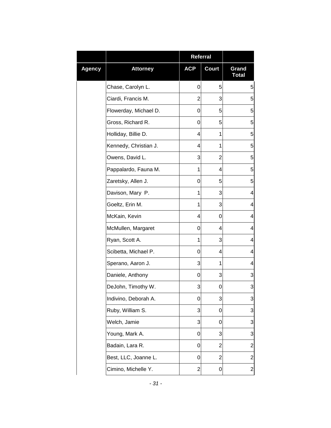|        |                       | Referral   |                |                       |
|--------|-----------------------|------------|----------------|-----------------------|
| Agency | <b>Attorney</b>       | <b>ACP</b> | <b>Court</b>   | Grand<br><b>Total</b> |
|        | Chase, Carolyn L.     | 0          | 5              | 5                     |
|        | Ciardi, Francis M.    | 2          | 3              | 5                     |
|        | Flowerday, Michael D. | 0          | 5              | 5                     |
|        | Gross, Richard R.     | 0          | 5              | 5                     |
|        | Holliday, Billie D.   | 4          | 1              | 5                     |
|        | Kennedy, Christian J. | 4          | 1              | 5                     |
|        | Owens, David L.       | 3          | $\overline{2}$ | 5                     |
|        | Pappalardo, Fauna M.  | 1          | 4              | 5                     |
|        | Zaretsky, Allen J.    | 0          | 5              | 5                     |
|        | Davison, Mary P.      | 1          | 3              | 4                     |
|        | Goeltz, Erin M.       | 1          | 3              | 4                     |
|        | McKain, Kevin         | 4          | 0              | 4                     |
|        | McMullen, Margaret    | 0          | 4              | 4                     |
|        | Ryan, Scott A.        | 1          | 3              | 4                     |
|        | Scibetta, Michael P.  | 0          | 4              | 4                     |
|        | Sperano, Aaron J.     | 3          | 1              | 4                     |
|        | Daniele, Anthony      | 0          | 3              | 3                     |
|        | DeJohn, Timothy W.    | 3          | 0              | 3                     |
|        | Indivino, Deborah A.  | 0          | 3              | 3                     |
|        | Ruby, William S.      | 3          | 0              | 3                     |
|        | Welch, Jamie          | 3          | 0              | 3                     |
|        | Young, Mark A.        | 0          | 3              | 3                     |
|        | Badain, Lara R.       | 0          | 2              | $\overline{2}$        |
|        | Best, LLC, Joanne L.  | 0          | $\overline{2}$ | 2                     |
|        | Cimino, Michelle Y.   | 2          | 0              | 2                     |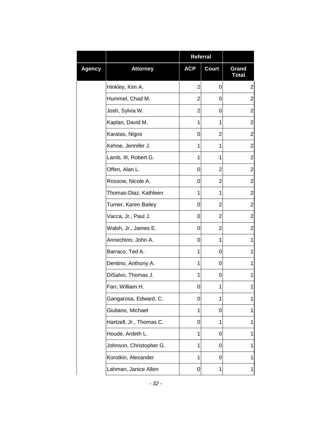|               |                          | <b>Referral</b> |                |                       |
|---------------|--------------------------|-----------------|----------------|-----------------------|
| <b>Agency</b> | <b>Attorney</b>          | <b>ACP</b>      | <b>Court</b>   | Grand<br><b>Total</b> |
|               | Hinkley, Kim A.          | 2               | 0              | $\overline{2}$        |
|               | Hummel, Chad M.          | 2               | 0              | $\overline{2}$        |
|               | Josh, Sylvia W.          | 2               | 0              | $\overline{2}$        |
|               | Kaplan, David M.         | 1               | 1              | $\overline{2}$        |
|               | Karatas, Nigos           | 0               | 2              | $\overline{2}$        |
|               | Kehoe, Jennifer J.       | 1               | 1              | $\overline{2}$        |
|               | Lamb, III, Robert G.     | 1               | 1              | $\overline{2}$        |
|               | Offen, Alan L.           | 0               | $\overline{2}$ | $\overline{2}$        |
|               | Rossow, Nicole A.        | 0               | 2              | $\overline{c}$        |
|               | Thomas-Diaz, Kathleen    | 1               | 1              | $\overline{2}$        |
|               | Turner, Karen Bailey     | 0               | 2              | $\mathbf{2}$          |
|               | Vacca, Jr., Paul J.      | 0               | 2              | $\overline{2}$        |
|               | Walsh, Jr., James E.     | 0               | 2              | $\overline{2}$        |
|               | Annechino, John A.       | 0               | 1              | 1                     |
|               | Barraco, Ted A.          | 1               | 0              | 1                     |
|               | Dentino, Anthony A.      | 1               | 0              | 1                     |
|               | DiSalvo, Thomas J.       | 1               | 0              | 1                     |
|               | Farr, William H.         | 0               | 1              | 1                     |
|               | Gangarosa, Edward, C.    | 0               | 1              | 1                     |
|               | Giuliano, Michael        | 1               | 0              | 1                     |
|               | Hartzell, Jr., Thomas C. | 0               | 1              | 1                     |
|               | Houde, Ardeth L.         | 1               | 0              | 1                     |
|               | Johnson, Christopher G.  | 1               | 0              | 1                     |
|               | Korotkin, Alexander      | 1               | 0              | 1                     |
|               | Lahman, Janice Allen     | 0               | 1              | 1                     |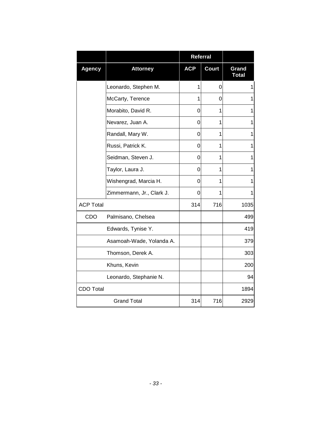|                  |                           | Referral   |              |                       |
|------------------|---------------------------|------------|--------------|-----------------------|
| <b>Agency</b>    | <b>Attorney</b>           | <b>ACP</b> | <b>Court</b> | Grand<br><b>Total</b> |
|                  | Leonardo, Stephen M.      | 1          | 0            | 1                     |
|                  | McCarty, Terence          | 1          | 0            | 1                     |
|                  | Morabito, David R.        | 0          | 1            | 1                     |
|                  | Nevarez, Juan A.          | 0          | 1            | 1                     |
|                  | Randall, Mary W.          | 0          | 1            | 1                     |
|                  | Russi, Patrick K.         | 0          | 1            | $\mathbf{1}$          |
|                  | Seidman, Steven J.        | 0          | 1            | 1                     |
|                  | Taylor, Laura J.          | 0          | 1            | 1                     |
|                  | Wishengrad, Marcia H.     | 0          | 1            | 1                     |
|                  | Zimmermann, Jr., Clark J. | 0          | 1            | 1                     |
| <b>ACP Total</b> |                           | 314        | 716          | 1035                  |
| CDO              | Palmisano, Chelsea        |            |              | 499                   |
|                  | Edwards, Tynise Y.        |            |              | 419                   |
|                  | Asamoah-Wade, Yolanda A.  |            |              | 379                   |
|                  | Thomson, Derek A.         |            |              | 303                   |
|                  | Khuns, Kevin              |            |              | 200                   |
|                  | Leonardo, Stephanie N.    |            |              | 94                    |
| <b>CDO Total</b> |                           |            |              | 1894                  |
|                  | <b>Grand Total</b>        | 314        | 716          | 2929                  |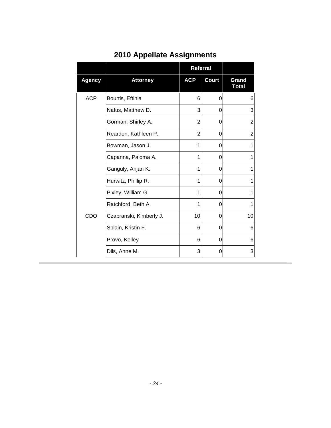|               |                         | Referral   |              |                       |
|---------------|-------------------------|------------|--------------|-----------------------|
| <b>Agency</b> | <b>Attorney</b>         | <b>ACP</b> | <b>Court</b> | Grand<br><b>Total</b> |
| <b>ACP</b>    | Bourtis, Eftihia        | 6          | 0            | 6                     |
|               | Nafus, Matthew D.       | 3          | 0            | 3                     |
|               | Gorman, Shirley A.      | 2          | 0            | $\overline{2}$        |
|               | Reardon, Kathleen P.    | 2          | 0            | $\overline{2}$        |
|               | Bowman, Jason J.        | 1          | 0            | 1                     |
|               | Capanna, Paloma A.      | 1          | 0            | 1                     |
|               | Ganguly, Anjan K.       | 1          | 0            | 1                     |
|               | Hurwitz, Phillip R.     | 1          | 0            | 1                     |
|               | Pixley, William G.      | 1          | 0            | 1                     |
|               | Ratchford, Beth A.      | 1          | 0            | 1                     |
| CDO           | Czapranski, Kimberly J. | 10         | 0            | 10                    |
|               | Splain, Kristin F.      | 6          | 0            | 6                     |
|               | Provo, Kelley           | 6          | 0            | 6                     |
|               | Dils, Anne M.           | 3          | 0            | 3                     |

### **2010 Appellate Assignments**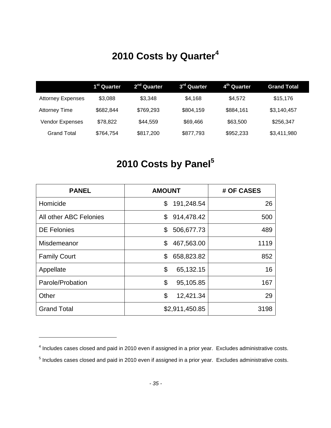### **2010 Costs by Quarter<sup>4</sup>**

|                          | 1 <sup>st</sup> Quarter | 2 <sup>nd</sup> Quarter | 3 <sup>rd</sup> Quarter | 4 <sup>th</sup> Quarter | <b>Grand Total</b> |
|--------------------------|-------------------------|-------------------------|-------------------------|-------------------------|--------------------|
| <b>Attorney Expenses</b> | \$3,088                 | \$3,348                 | \$4,168                 | \$4,572                 | \$15,176           |
| <b>Attorney Time</b>     | \$682,844               | \$769,293               | \$804,159               | \$884,161               | \$3,140,457        |
| <b>Vendor Expenses</b>   | \$78,822                | \$44,559                | \$69,466                | \$63,500                | \$256,347          |
| Grand Total              | \$764,754               | \$817,200               | \$877,793               | \$952,233               | \$3,411,980        |

### **2010 Costs by Panel<sup>5</sup>**

| <b>PANEL</b>           | <b>AMOUNT</b>    | # OF CASES |
|------------------------|------------------|------------|
| Homicide               | \$<br>191,248.54 | 26         |
| All other ABC Felonies | \$<br>914,478.42 | 500        |
| <b>DE Felonies</b>     | 506,677.73<br>\$ | 489        |
| Misdemeanor            | \$<br>467,563.00 | 1119       |
| <b>Family Court</b>    | 658,823.82<br>\$ | 852        |
| Appellate              | \$<br>65,132.15  | 16         |
| Parole/Probation       | \$<br>95,105.85  | 167        |
| Other                  | \$<br>12,421.34  | 29         |
| <b>Grand Total</b>     | \$2,911,450.85   | 3198       |

 $<sup>4</sup>$  Includes cases closed and paid in 2010 even if assigned in a prior year. Excludes administrative costs.</sup>

 $<sup>5</sup>$  Includes cases closed and paid in 2010 even if assigned in a prior year. Excludes administrative costs.</sup>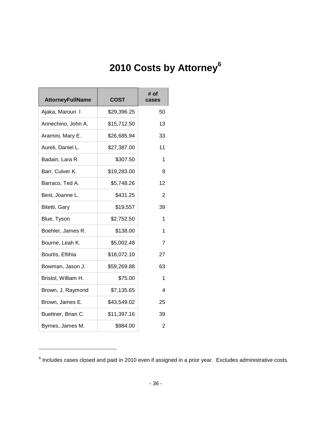## **2010 Costs by Attorney<sup>6</sup>**

| <b>AttorneyFullName</b> | <b>COST</b> | # of<br>cases  |
|-------------------------|-------------|----------------|
| Ajaka, Maroun I         | \$29,396.25 | 50             |
| Annechino, John A.      | \$15,712.50 | 13             |
| Aramini, Mary E.        | \$26,685.94 | 33             |
| Aureli, Daniel L.       | \$27,387.00 | 11             |
| Badain, Lara R.         | \$307.50    | 1              |
| Barr, Culver K.         | \$19,283.00 | 9              |
| Barraco, Ted A.         | \$5,748.26  | 12             |
| Best, Joanne L.         | \$431.25    | 2              |
| Bitetti, Gary           | \$19,557    | 39             |
| Blue, Tyson             | \$2,752.50  | 1              |
| Boehler, James R.       | \$138.00    | 1              |
| Bourne, Leah K.         | \$5,002.48  | $\overline{7}$ |
| Bourtis, Eftihia        | \$18,072.10 | 27             |
| Bowman, Jason J.        | \$59,269.88 | 63             |
| Bristol, William H.     | \$75.00     | 1              |
| Brown, J. Raymond       | \$7,135.65  | 4              |
| Brown, James E.         | \$43,549.02 | 25             |
| Buettner, Brian C.      | \$11,397.16 | 39             |
| Byrnes, James M.        | \$984.00    | 2              |

 $^6$  Includes cases closed and paid in 2010 even if assigned in a prior year. Excludes administrative costs.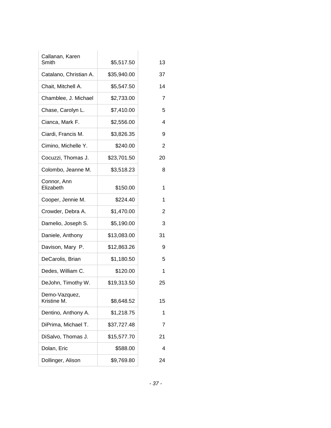| Callanan, Karen              |             |                |
|------------------------------|-------------|----------------|
| Smith                        | \$5,517.50  | 13             |
| Catalano, Christian A.       | \$35,940.00 | 37             |
| Chait, Mitchell A.           | \$5,547.50  | 14             |
| Chamblee, J. Michael         | \$2,733.00  | $\overline{7}$ |
| Chase, Carolyn L.            | \$7,410.00  | 5              |
| Cianca, Mark F.              | \$2,556.00  | 4              |
| Ciardi, Francis M.           | \$3,826.35  | 9              |
| Cimino, Michelle Y.          | \$240.00    | $\overline{c}$ |
| Cocuzzi, Thomas J.           | \$23,701.50 | 20             |
| Colombo, Jeanne M.           | \$3,518.23  | 8              |
| Connor, Ann<br>Elizabeth     | \$150.00    | 1              |
| Cooper, Jennie M.            | \$224.40    | 1              |
| Crowder, Debra A.            | \$1,470.00  | $\overline{c}$ |
| Damelio, Joseph S.           | \$5,190.00  | 3              |
| Daniele, Anthony             | \$13,083.00 | 31             |
| Davison, Mary P.             | \$12,863.26 | 9              |
| DeCarolis, Brian             | \$1,180.50  | 5              |
| Dedes, William C.            | \$120.00    | 1              |
| DeJohn, Timothy W.           | \$19,313.50 | 25             |
| Demo-Vazquez,<br>Kristine M. | \$8,648.52  | 15             |
| Dentino, Anthony A.          | \$1,218.75  | 1              |
| DiPrima, Michael T.          | \$37,727.48 | 7              |
| DiSalvo, Thomas J.           | \$15,577.70 | 21             |
| Dolan, Eric                  | \$588.00    | 4              |
| Dollinger, Alison            | \$9,769.80  | 24             |
|                              |             |                |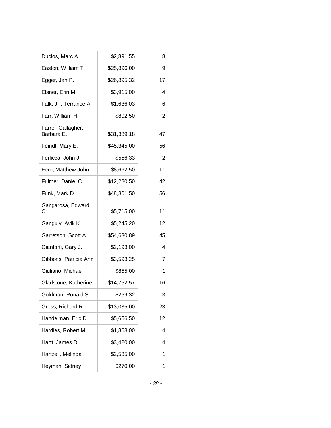| Duclos, Marc A.                  | \$2,891.55  | 8  |
|----------------------------------|-------------|----|
| Easton, William T.               | \$25,896.00 | 9  |
| Egger, Jan P.                    | \$26,895.32 | 17 |
| Elsner, Erin M.                  | \$3,915.00  | 4  |
| Falk, Jr., Terrance A.           | \$1,636.03  | 6  |
| Farr, William H.                 | \$802.50    | 2  |
| Farrell-Gallagher,<br>Barbara E. | \$31,389.18 | 47 |
| Feindt, Mary E.                  | \$45,345.00 | 56 |
| Ferlicca, John J.                | \$556.33    | 2  |
| Fero, Matthew John               | \$8,662.50  | 11 |
| Fulmer, Daniel C.                | \$12,280.50 | 42 |
| Funk, Mark D.                    | \$48,301.50 | 56 |
| Gangarosa, Edward,<br>С.         | \$5,715.00  | 11 |
| Ganguly, Avik K.                 | \$5,245.20  | 12 |
| Garretson, Scott A.              | \$54,630.89 | 45 |
| Gianforti, Gary J.               | \$2,193.00  | 4  |
| Gibbons, Patricia Ann            | \$3,593.25  | 7  |
| Giuliano, Michael                | \$855.00    | 1  |
| Gladstone, Katherine             | \$14,752.57 | 16 |
| Goldman, Ronald S.               | \$259.32    | 3  |
| Gross, Richard R.                | \$13,035.00 | 23 |
| Handelman, Eric D.               | \$5,656.50  | 12 |
| Hardies, Robert M.               | \$1,368.00  | 4  |
| Hartt, James D.                  | \$3,420.00  | 4  |
| Hartzell, Melinda                | \$2,535.00  | 1  |
| Heyman, Sidney                   | \$270.00    | 1  |
|                                  |             |    |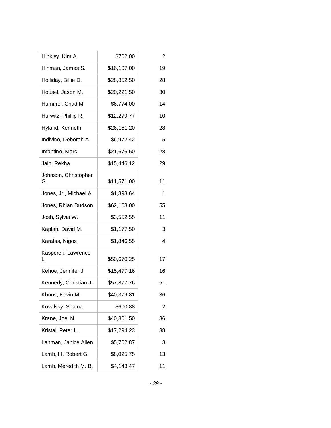| Hinkley, Kim A.            | \$702.00    | $\overline{2}$ |
|----------------------------|-------------|----------------|
| Hinman, James S.           | \$16,107.00 | 19             |
| Holliday, Billie D.        | \$28,852.50 | 28             |
| Housel, Jason M.           | \$20,221.50 | 30             |
| Hummel, Chad M.            | \$6,774.00  | 14             |
| Hurwitz, Phillip R.        | \$12,279.77 | 10             |
| Hyland, Kenneth            | \$26,161.20 | 28             |
| Indivino, Deborah A.       | \$6,972.42  | 5              |
| Infantino, Marc            | \$21,676.50 | 28             |
| Jain, Rekha                | \$15,446.12 | 29             |
| Johnson, Christopher<br>G. | \$11,571.00 | 11             |
| Jones, Jr., Michael A.     | \$1,393.64  | 1              |
| Jones, Rhian Dudson        | \$62,163.00 | 55             |
| Josh, Sylvia W.            | \$3,552.55  | 11             |
| Kaplan, David M.           | \$1,177.50  | 3              |
| Karatas, Nigos             | \$1,846.55  | 4              |
| Kasperek, Lawrence<br>L.   | \$50,670.25 | 17             |
| Kehoe, Jennifer J.         | \$15,477.16 | 16             |
| Kennedy, Christian J.      | \$57,877.76 | 51             |
| Khuns, Kevin M.            | \$40,379.81 | 36             |
| Kovalsky, Shaina           | \$600.88    | 2              |
| Krane, Joel N.             | \$40,801.50 | 36             |
| Kristal, Peter L.          | \$17,294.23 | 38             |
| Lahman, Janice Allen       | \$5,702.87  | 3              |
| Lamb, III, Robert G.       | \$8,025.75  | 13             |
| Lamb, Meredith M. B.       | \$4,143.47  | 11             |
|                            |             |                |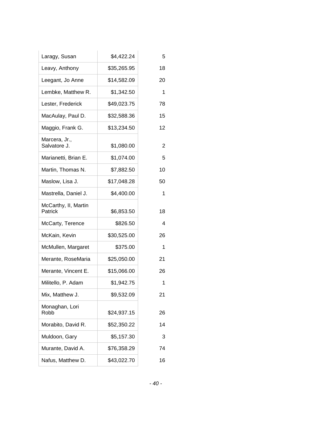| Laragy, Susan                   | \$4,422.24  | 5  |
|---------------------------------|-------------|----|
| Leavy, Anthony                  | \$35,265.95 | 18 |
| Leegant, Jo Anne                | \$14,582.09 | 20 |
| Lembke, Matthew R.              | \$1,342.50  | 1  |
| Lester, Frederick               | \$49,023.75 | 78 |
| MacAulay, Paul D.               | \$32,588.36 | 15 |
| Maggio, Frank G.                | \$13,234.50 | 12 |
| Marcera, Jr.,<br>Salvatore J.   | \$1,080.00  | 2  |
| Marianetti, Brian E.            | \$1,074.00  | 5  |
| Martin, Thomas N.               | \$7,882.50  | 10 |
| Maslow, Lisa J.                 | \$17,048.28 | 50 |
| Mastrella, Daniel J.            | \$4,400.00  | 1  |
| McCarthy, II, Martin<br>Patrick | \$6,853.50  | 18 |
| McCarty, Terence                | \$826.50    | 4  |
| McKain, Kevin                   | \$30,525.00 | 26 |
| McMullen, Margaret              | \$375.00    | 1  |
| Merante, RoseMaria              | \$25,050.00 | 21 |
| Merante, Vincent E.             | \$15,066.00 | 26 |
| Militello, P. Adam              | \$1,942.75  | 1  |
| Mix, Matthew J.                 | \$9,532.09  | 21 |
| Monaghan, Lori<br>Robb          | \$24,937.15 | 26 |
| Morabito, David R.              | \$52,350.22 | 14 |
| Muldoon, Gary                   | \$5,157.30  | 3  |
| Murante, David A.               | \$76,358.29 | 74 |
| Nafus, Matthew D.               | \$43,022.70 | 16 |
|                                 |             |    |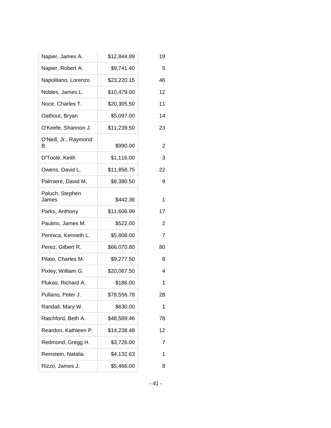| Napier, James A.            | \$12,844.89 | 19 |
|-----------------------------|-------------|----|
| Napier, Robert A.           | \$9,741.40  | 5  |
| Napolitano, Lorenzo         | \$23,220.15 | 46 |
| Nobles, James L.            | \$10,479.00 | 12 |
| Noce, Charles T.            | \$20,305.50 | 11 |
| Oathout, Bryan              | \$5,097.00  | 14 |
| O'Keefe, Shannon J.         | \$11,239.50 | 23 |
| O'Neill, Jr., Raymond<br>В. | \$990.00    | 2  |
| O'Toole, Keith              | \$1,116.00  | 3  |
| Owens, David L.             | \$11,856.75 | 22 |
| Palmiere, David M.          | \$8,380.50  | 9  |
| Paluch, Stephen<br>James    | \$442.36    | 1  |
| Parks, Anthony              | \$11,606.99 | 17 |
| Paulino, James M.           | \$522.00    | 2  |
| Pennica, Kenneth L.         | \$5,808.00  | 7  |
| Perez, Gilbert R.           | \$66,070.80 | 80 |
| Pilato, Charles M.          | \$9,277.50  | 8  |
| Pixley, William G.          | \$20,067.50 | 4  |
| Plukas, Richard A.          | \$186.00    | 1  |
| Pullano, Peter J.           | \$78,556.78 | 28 |
| Randall, Mary W.            | \$630.00    | 1  |
| Ratchford, Beth A.          | \$48,589.46 | 78 |
| Reardon, Kathleen P.        | \$14,238.48 | 12 |
| Redmond, Gregg H.           | \$3,726.00  | 7  |
| Reinstein, Natalia          | \$4,132.63  | 1  |
| Rizzo, James J.             | \$5,466.00  | 8  |
|                             |             |    |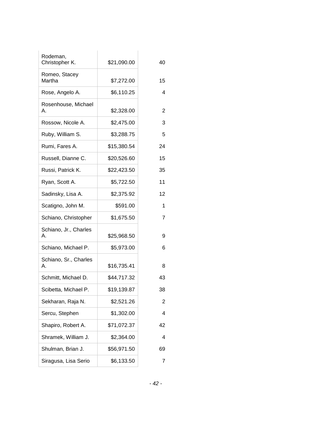| Rodeman,<br>Christopher K.  | \$21,090.00 | 40                       |
|-----------------------------|-------------|--------------------------|
| Romeo, Stacey<br>Martha     | \$7,272.00  | 15                       |
| Rose, Angelo A.             | \$6,110.25  | $\overline{\mathcal{L}}$ |
| Rosenhouse, Michael<br>А.   | \$2,328.00  | $\overline{c}$           |
| Rossow, Nicole A.           | \$2,475.00  | 3                        |
| Ruby, William S.            | \$3,288.75  | 5                        |
| Rumi, Fares A.              | \$15,380.54 | 24                       |
| Russell, Dianne C.          | \$20,526.60 | 15                       |
| Russi, Patrick K.           | \$22,423.50 | 35                       |
| Ryan, Scott A.              | \$5,722.50  | 11                       |
| Sadinsky, Lisa A.           | \$2,375.92  | 12                       |
| Scatigno, John M.           | \$591.00    | 1                        |
| Schiano, Christopher        | \$1,675.50  | $\overline{7}$           |
| Schiano, Jr., Charles<br>А. | \$25,968.50 | 9                        |
| Schiano, Michael P.         | \$5,973.00  | 6                        |
| Schiano, Sr., Charles<br>А. | \$16,735.41 | 8                        |
| Schmitt, Michael D.         | \$44,717.32 | 43                       |
| Scibetta, Michael P.        | \$19,139.87 | 38                       |
| Sekharan, Raja N.           | \$2,521.26  | $\overline{2}$           |
| Sercu, Stephen              | \$1,302.00  | 4                        |
| Shapiro, Robert A.          | \$71,072.37 | 42                       |
| Shramek, William J.         | \$2,364.00  | 4                        |
| Shulman, Brian J.           | \$56,971.50 | 69                       |
| Siragusa, Lisa Serio        | \$6,133.50  | 7                        |
|                             |             |                          |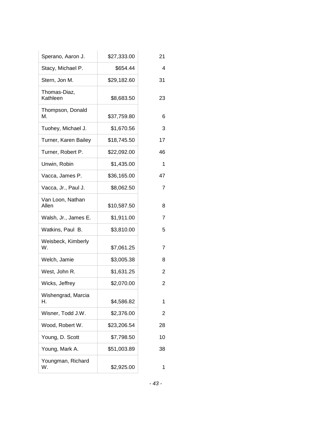| Sperano, Aaron J.         | \$27,333.00 | 21 |
|---------------------------|-------------|----|
| Stacy, Michael P.         | \$654.44    | 4  |
| Stern, Jon M.             | \$29,182.60 | 31 |
| Thomas-Diaz,<br>Kathleen  | \$8,683.50  | 23 |
| Thompson, Donald<br>М.    | \$37,759.80 | 6  |
| Tuohey, Michael J.        | \$1,670.56  | 3  |
| Turner, Karen Bailey      | \$18,745.50 | 17 |
| Turner, Robert P.         | \$22,092.00 | 46 |
| Unwin, Robin              | \$1,435.00  | 1  |
| Vacca, James P.           | \$36,165.00 | 47 |
| Vacca, Jr., Paul J.       | \$8,062.50  | 7  |
| Van Loon, Nathan<br>Allen | \$10,587.50 | 8  |
| Walsh, Jr., James E.      | \$1,911.00  | 7  |
| Watkins, Paul B.          | \$3,810.00  | 5  |
| Weisbeck, Kimberly<br>W.  | \$7,061.25  | 7  |
| Welch, Jamie              | \$3,005.38  | 8  |
| West, John R.             | \$1,631.25  | 2  |
| Wicks, Jeffrey            | \$2,070.00  | 2  |
| Wishengrad, Marcia<br>Н.  | \$4,586.82  | 1  |
| Wisner, Todd J.W.         | \$2,376.00  | 2  |
| Wood, Robert W.           | \$23,206.54 | 28 |
| Young, D. Scott           | \$7,798.50  | 10 |
| Young, Mark A.            | \$51,003.89 | 38 |
| Youngman, Richard<br>W.   | \$2,925.00  | 1  |
|                           |             |    |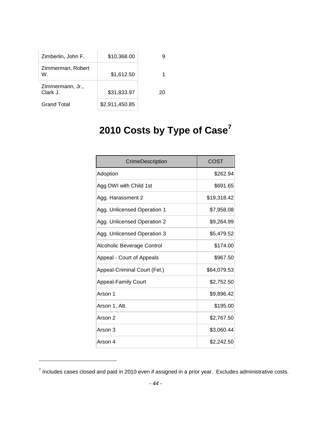| Zimberlin, John F.           | \$10,368.00    | g  |
|------------------------------|----------------|----|
| Zimmerman, Robert<br>W.      | \$1,612.50     |    |
| Zimmermann, Jr.,<br>Clark J. | \$31,833.97    | 20 |
| Grand Total                  | \$2,911,450.85 |    |

l

## **2010 Costs by Type of Case<sup>7</sup>**

| CrimeDescription             | COST        |
|------------------------------|-------------|
| Adoption                     | \$262.94    |
| Agg DWI with Child 1st       | \$691.65    |
| Agg. Harassment 2            | \$19,318.42 |
| Agg. Unlicensed Operation 1  | \$7,958.08  |
| Agg. Unlicensed Operation 2  | \$9,264.99  |
| Agg. Unlicensed Operation 3  | \$5,479.52  |
| Alcoholic Beverage Control   | \$174.00    |
| Appeal - Court of Appeals    | \$967.50    |
| Appeal-Criminal Court (Fel.) | \$64,079.53 |
| <b>Appeal-Family Court</b>   | \$2,752.50  |
| Arson 1                      | \$9,896.42  |
| Arson 1, Att.                | \$195.00    |
| Arson 2                      | \$2,767.50  |
| Arson 3                      | \$3,060.44  |
| Arson 4                      | \$2,242.50  |

 $^7$  Includes cases closed and paid in 2010 even if assigned in a prior year. Excludes administrative costs.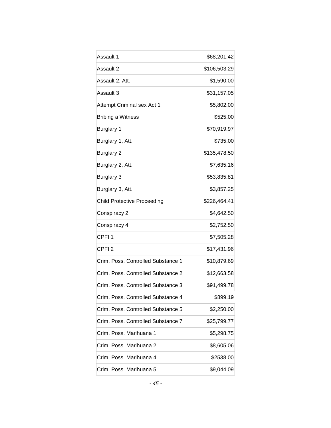| Assault 1                          | \$68,201.42  |
|------------------------------------|--------------|
| Assault 2                          | \$106,503.29 |
| Assault 2, Att.                    | \$1,590.00   |
| Assault 3                          | \$31,157.05  |
| Attempt Criminal sex Act 1         | \$5,802.00   |
| <b>Bribing a Witness</b>           | \$525.00     |
| <b>Burglary 1</b>                  | \$70,919.97  |
| Burglary 1, Att.                   | \$735.00     |
| <b>Burglary 2</b>                  | \$135,478.50 |
| Burglary 2, Att.                   | \$7,635.16   |
| <b>Burglary 3</b>                  | \$53,835.81  |
| Burglary 3, Att.                   | \$3,857.25   |
| <b>Child Protective Proceeding</b> | \$226,464.41 |
| Conspiracy 2                       | \$4,642.50   |
| Conspiracy 4                       | \$2,752.50   |
| CPFI <sub>1</sub>                  | \$7,505.28   |
| CPFI <sub>2</sub>                  | \$17,431.96  |
| Crim. Poss. Controlled Substance 1 | \$10,879.69  |
| Crim. Poss. Controlled Substance 2 | \$12,663.58  |
| Crim. Poss. Controlled Substance 3 | \$91,499.78  |
| Crim. Poss. Controlled Substance 4 | \$899.19     |
| Crim. Poss. Controlled Substance 5 | \$2,250.00   |
| Crim. Poss. Controlled Substance 7 | \$25,799.77  |
| Crim. Poss. Marihuana 1            | \$5,298.75   |
| Crim. Poss. Marihuana 2            | \$8,605.06   |
| Crim. Poss. Marihuana 4            | \$2538.00    |
| Crim. Poss. Marihuana 5            | \$9,044.09   |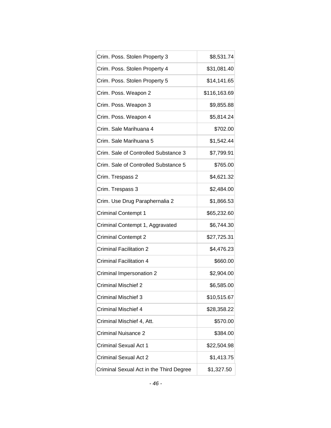| Crim. Poss. Stolen Property 3           | \$8,531.74   |
|-----------------------------------------|--------------|
| Crim. Poss. Stolen Property 4           | \$31,081.40  |
| Crim. Poss. Stolen Property 5           | \$14,141.65  |
| Crim. Poss. Weapon 2                    | \$116,163.69 |
| Crim. Poss. Weapon 3                    | \$9,855.88   |
| Crim. Poss. Weapon 4                    | \$5,814.24   |
| Crim. Sale Marihuana 4                  | \$702.00     |
| Crim. Sale Marihuana 5                  | \$1,542.44   |
| Crim. Sale of Controlled Substance 3    | \$7,799.91   |
| Crim. Sale of Controlled Substance 5    | \$765.00     |
| Crim. Trespass 2                        | \$4,621.32   |
| Crim. Trespass 3                        | \$2,484.00   |
| Crim. Use Drug Paraphernalia 2          | \$1,866.53   |
| <b>Criminal Contempt 1</b>              | \$65,232.60  |
| Criminal Contempt 1, Aggravated         | \$6,744.30   |
| <b>Criminal Contempt 2</b>              | \$27,725.31  |
| Criminal Facilitation 2                 | \$4,476.23   |
| Criminal Facilitation 4                 | \$660.00     |
| Criminal Impersonation 2                | \$2,904.00   |
| <b>Criminal Mischief 2</b>              | \$6,585.00   |
| <b>Criminal Mischief 3</b>              | \$10,515.67  |
| <b>Criminal Mischief 4</b>              | \$28,358.22  |
| Criminal Mischief 4, Att.               | \$570.00     |
| Criminal Nuisance 2                     | \$384.00     |
| Criminal Sexual Act 1                   | \$22,504.98  |
| Criminal Sexual Act 2                   | \$1,413.75   |
| Criminal Sexual Act in the Third Degree | \$1,327.50   |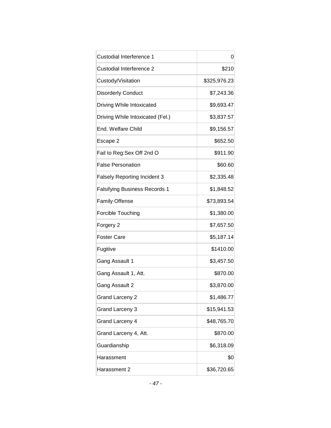| Custodial Interference 1             | 0            |
|--------------------------------------|--------------|
| Custodial Interference 2             | \$210        |
| Custody/Visitation                   | \$325,976.23 |
| <b>Disorderly Conduct</b>            | \$7,243.36   |
| Driving While Intoxicated            | \$9,693.47   |
| Driving While Intoxicated (Fel.)     | \$3,837.57   |
| End. Welfare Child                   | \$9,156.57   |
| Escape 2                             | \$652.50     |
| Fail to Reg: Sex Off 2nd O           | \$911.90     |
| <b>False Personation</b>             | \$60.60      |
| <b>Falsely Reporting Incident 3</b>  | \$2,335.48   |
| <b>Falsifying Business Records 1</b> | \$1,848.52   |
| <b>Family Offense</b>                | \$73,893.54  |
| Forcible Touching                    | \$1,380.00   |
| Forgery 2                            | \$7,657.50   |
| <b>Foster Care</b>                   | \$5,187.14   |
| Fugitive                             | \$1410.00    |
| Gang Assault 1                       | \$3,457.50   |
| Gang Assault 1, Att.                 | \$870.00     |
| Gang Assault 2                       | \$3,870.00   |
| <b>Grand Larceny 2</b>               | \$1,486.77   |
| Grand Larceny 3                      | \$15,941.53  |
| Grand Larceny 4                      | \$48,765.70  |
| Grand Larceny 4, Att.                | \$870.00     |
| Guardianship                         | \$6,318.09   |
| Harassment                           | \$0          |
| Harassment 2                         | \$36,720.65  |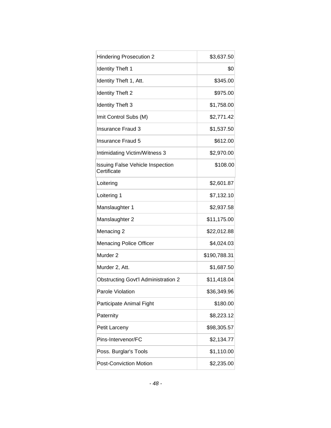| <b>Hindering Prosecution 2</b>                         | \$3,637.50   |
|--------------------------------------------------------|--------------|
| <b>Identity Theft 1</b>                                | \$0          |
| Identity Theft 1, Att.                                 | \$345.00     |
| <b>Identity Theft 2</b>                                | \$975.00     |
| <b>Identity Theft 3</b>                                | \$1,758.00   |
| Imit Control Subs (M)                                  | \$2,771.42   |
| Insurance Fraud 3                                      | \$1,537.50   |
| Insurance Fraud 5                                      | \$612.00     |
| Intimidating Victim/Witness 3                          | \$2,970.00   |
| <b>Issuing False Vehicle Inspection</b><br>Certificate | \$108.00     |
| Loitering                                              | \$2,601.87   |
| Loitering 1                                            | \$7,132.10   |
| Manslaughter 1                                         | \$2,937.58   |
| Manslaughter 2                                         | \$11,175.00  |
| Menacing 2                                             | \$22,012.88  |
| <b>Menacing Police Officer</b>                         | \$4,024.03   |
| Murder <sub>2</sub>                                    | \$190,788.31 |
| Murder 2, Att.                                         | \$1,687.50   |
| <b>Obstructing Govt'l Administration 2</b>             | \$11,418.04  |
| Parole Violation                                       | \$36,349.96  |
| Participate Animal Fight                               | \$180.00     |
| Paternity                                              | \$8,223.12   |
| Petit Larceny                                          | \$98,305.57  |
| Pins-Intervenor/FC                                     | \$2,134.77   |
| Poss. Burglar's Tools                                  | \$1,110.00   |
| <b>Post-Conviction Motion</b>                          | \$2,235.00   |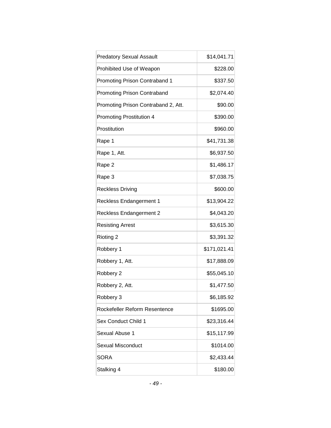| <b>Predatory Sexual Assault</b>     | \$14,041.71  |
|-------------------------------------|--------------|
| Prohibited Use of Weapon            | \$228.00     |
| Promoting Prison Contraband 1       | \$337.50     |
| <b>Promoting Prison Contraband</b>  | \$2,074.40   |
| Promoting Prison Contraband 2, Att. | \$90.00      |
| <b>Promoting Prostitution 4</b>     | \$390.00     |
| Prostitution                        | \$960.00     |
| Rape 1                              | \$41,731.38  |
| Rape 1, Att.                        | \$6,937.50   |
| Rape 2                              | \$1,486.17   |
| Rape 3                              | \$7,038.75   |
| <b>Reckless Driving</b>             | \$600.00     |
| <b>Reckless Endangerment 1</b>      | \$13,904.22  |
| <b>Reckless Endangerment 2</b>      | \$4,043.20   |
| <b>Resisting Arrest</b>             | \$3,615.30   |
| Rioting 2                           | \$3,391.32   |
| Robbery 1                           | \$171,021.41 |
| Robbery 1, Att.                     | \$17,888.09  |
| Robbery 2                           | \$55,045.10  |
| Robbery 2, Att.                     | \$1,477.50   |
| Robbery 3                           | \$6,185.92   |
| Rockefeller Reform Resentence       | \$1695.00    |
| Sex Conduct Child 1                 | \$23,316.44  |
| Sexual Abuse 1                      | \$15,117.99  |
| Sexual Misconduct                   | \$1014.00    |
| <b>SORA</b>                         | \$2,433.44   |
| Stalking 4                          | \$180.00     |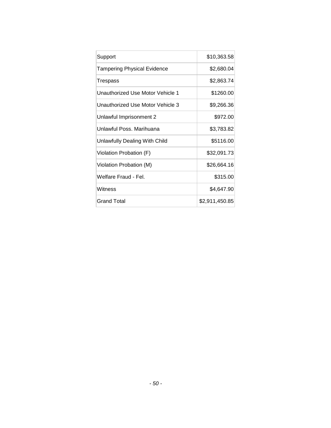| Support                          | \$10,363.58    |
|----------------------------------|----------------|
| Tampering Physical Evidence      | \$2,680.04     |
| Trespass                         | \$2,863.74     |
| Unauthorized Use Motor Vehicle 1 | \$1260.00      |
| Unauthorized Use Motor Vehicle 3 | \$9,266.36     |
| Unlawful Imprisonment 2          | \$972.00       |
| Unlawful Poss. Marihuana         | \$3,783.82     |
| Unlawfully Dealing With Child    | \$5116.00      |
| Violation Probation (F)          | \$32,091.73    |
| Violation Probation (M)          | \$26,664.16    |
| Welfare Fraud - Fel.             | \$315.00       |
| Witness                          | \$4,647.90     |
| Grand Total                      | \$2,911,450.85 |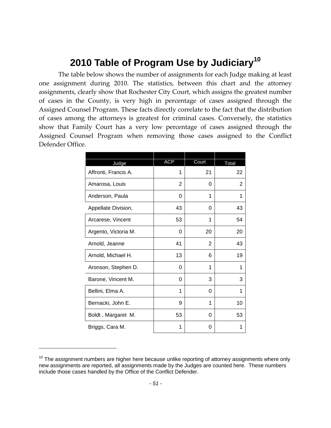### **2010 Table of Program Use by Judiciary<sup>10</sup>**

The table below shows the number of assignments for each Judge making at least one assignment during 2010. The statistics, between this chart and the attorney assignments, clearly show that Rochester City Court, which assigns the greatest number of cases in the County, is very high in percentage of cases assigned through the Assigned Counsel Program. These facts directly correlate to the fact that the distribution of cases among the attorneys is greatest for criminal cases. Conversely, the statistics show that Family Court has a very low percentage of cases assigned through the Assigned Counsel Program when removing those cases assigned to the Conflict Defender Office.

| Judge                | <b>ACP</b> | Court | Total |
|----------------------|------------|-------|-------|
| Affronti, Francis A. | 1          | 21    | 22    |
| Amarosa, Louis       | 2          | 0     | 2     |
| Anderson, Paula      | 0          | 1     | 1     |
| Appellate Division,  | 43         | 0     | 43    |
| Arcarese, Vincent    | 53         | 1     | 54    |
| Argento, Victoria M. | 0          | 20    | 20    |
| Arnold, Jeanne       | 41         | 2     | 43    |
| Arnold, Michael H.   | 13         | 6     | 19    |
| Aronson, Stephen D.  | 0          | 1     | 1     |
| Barone, Vincent M.   | 0          | 3     | 3     |
| Bellini, Elma A.     | 1          | 0     | 1     |
| Bernacki, John E.    | 9          | 1     | 10    |
| Boldt, Margaret M.   | 53         | 0     | 53    |
| Briggs, Cara M.      | 1          | 0     | 1     |

 $10$  The assignment numbers are higher here because unlike reporting of attorney assignments where only new assignments are reported, all assignments made by the Judges are counted here. These numbers include those cases handled by the Office of the Conflict Defender.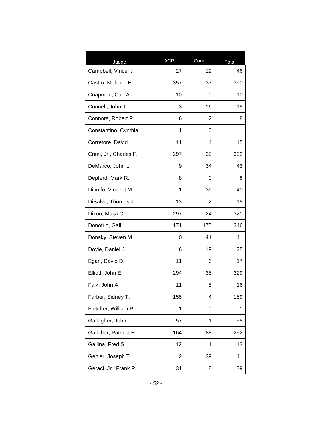|                            | <b>ACP</b> | Court |             |
|----------------------------|------------|-------|-------------|
| Judge<br>Campbell, Vincent | 27         | 19    | Total<br>46 |
| Castro, Melchor E.         | 357        | 33    | 390         |
| Coapman, Carl A.           | 10         | 0     | 10          |
| Connell, John J.           | 3          | 16    | 19          |
| Connors, Robert P.         | 6          | 2     | 8           |
| Constantino, Cynthia       | 1          | 0     | 1           |
| Corretore, David           | 11         | 4     | 15          |
| Crimi, Jr., Charles F.     | 297        | 35    | 332         |
| DeMarco, John L.           | 9          | 34    | 43          |
| Depferd, Mark R.           | 8          | 0     | 8           |
| Dinolfo, Vincent M.        | 1          | 39    | 40          |
| DiSalvo, Thomas J.         | 13         | 2     | 15          |
| Dixon, Maija C.            | 297        | 24    | 321         |
| Donofrio, Gail             | 171        | 175   | 346         |
| Donsky, Steven M.          | 0          | 41    | 41          |
| Doyle, Daniel J.           | 6          | 19    | 25          |
| Egan, David D.             | 11         | 6     | 17          |
| Elliott, John E.           | 294        | 35    | 329         |
| Falk, John A.              | 11         | 5     | 16          |
| Farber, Sidney T.          | 155        | 4     | 159         |
| Fletcher, William P.       | 1          | 0     | 1           |
| Gallagher, John            | 57         | 1     | 58          |
| Gallaher, Patricia E.      | 164        | 88    | 252         |
| Gallina, Fred S.           | 12         | 1     | 13          |
| Genier, Joseph T.          | 2          | 39    | 41          |
| Geraci, Jr., Frank P.      | 31         | 8     | 39          |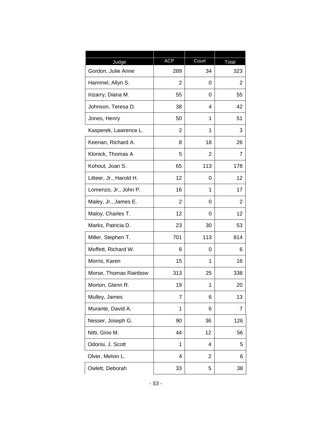|                         | <b>ACP</b> |       |       |
|-------------------------|------------|-------|-------|
| Judge                   |            | Court | Total |
| Gordon, Julie Anne      | 289        | 34    | 323   |
| Hammel, Allyn S.        | 2          | 0     | 2     |
| Irizarry, Diana M.      | 55         | 0     | 55    |
| Johnson, Teresa D.      | 38         | 4     | 42    |
| Jones, Henry            | 50         | 1     | 51    |
| Kasperek, Lawrence L.   | 2          | 1     | 3     |
| Keenan, Richard A.      | 8          | 18    | 26    |
| Klonick, Thomas A       | 5          | 2     | 7     |
| Kohout, Joan S.         | 65         | 113   | 178   |
| Litteer, Jr., Harold H. | 12         | 0     | 12    |
| Lomenzo, Jr., John P.   | 16         | 1     | 17    |
| Maley, Jr., James E.    | 2          | 0     | 2     |
| Maloy, Charles T.       | 12         | 0     | 12    |
| Marks, Patricia D.      | 23         | 30    | 53    |
| Miller, Stephen T.      | 701        | 113   | 814   |
| Moffett, Richard W.     | 6          | 0     | 6     |
| Morris, Karen           | 15         | 1     | 16    |
| Morse, Thomas Rainbow   | 313        | 25    | 338   |
| Morton, Glenn R.        | 19         | 1     | 20    |
| Mulley, James           | 7          | 6     | 13    |
| Murante, David A.       | 1          | 6     | 7     |
| Nesser, Joseph G.       | 90         | 36    | 126   |
| Nitti, Gino M.          | 44         | 12    | 56    |
| Odorisi, J. Scott       | 1          | 4     | 5     |
| Olver, Melvin L.        | 4          | 2     | 6     |
| Owlett, Deborah         | 33         | 5     | 38    |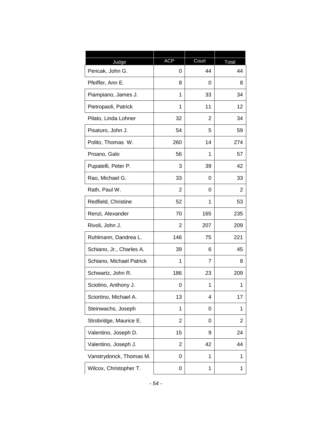| Judge                    | <b>ACP</b>     | Court | Total |
|--------------------------|----------------|-------|-------|
| Pericak, John G.         | 0              | 44    | 44    |
| Pfeiffer, Ann E.         | 8              | 0     | 8     |
| Piampiano, James J.      | 1              | 33    | 34    |
| Pietropaoli, Patrick     | 1              | 11    | 12    |
| Pilato, Linda Lohner     | 32             | 2     | 34    |
| Pisaturo, John J.        | 54             | 5     | 59    |
| Polito, Thomas W.        | 260            | 14    | 274   |
| Proano, Galo             | 56             | 1     | 57    |
| Pupatelli, Peter P.      | 3              | 39    | 42    |
| Rao, Michael G.          | 33             | 0     | 33    |
| Rath, Paul W.            | $\overline{2}$ | 0     | 2     |
| Redfield, Christine      | 52             | 1     | 53    |
| Renzi, Alexander         | 70             | 165   | 235   |
| Rivoli, John J.          | $\overline{2}$ | 207   | 209   |
| Ruhlmann, Dandrea L.     | 146            | 75    | 221   |
| Schiano, Jr., Charles A. | 39             | 6     | 45    |
| Schiano, Michael Patrick | 1              | 7     | 8     |
| Schwartz, John R.        | 186            | 23    | 209   |
| Sciolino, Anthony J.     | 0              | 1     | 1     |
| Sciortino, Michael A.    | 13             | 4     | 17    |
| Steinwachs, Joseph       | 1              | 0     | 1     |
| Strobridge, Maurice E.   | $\overline{2}$ | 0     | 2     |
| Valentino, Joseph D.     | 15             | 9     | 24    |
| Valentino, Joseph J.     | $\overline{2}$ | 42    | 44    |
| Vanstrydonck, Thomas M.  | 0              | 1     | 1     |
| Wilcox, Christopher T.   | 0              | 1     | 1     |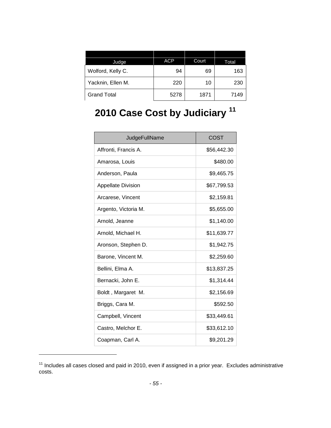| Judge              | <b>ACP</b> | Court | Total |
|--------------------|------------|-------|-------|
| Wolford, Kelly C.  | 94         | 69    | 163   |
| Yacknin, Ellen M.  | 220        | 10    | 230   |
| <b>Grand Total</b> | 5278       | 1871  | 7149  |

# **2010 Case Cost by Judiciary <sup>11</sup>**

| JudgeFullName             | <b>COST</b> |
|---------------------------|-------------|
| Affronti, Francis A.      | \$56,442.30 |
| Amarosa, Louis            | \$480.00    |
| Anderson, Paula           | \$9,465.75  |
| <b>Appellate Division</b> | \$67,799.53 |
| Arcarese, Vincent         | \$2,159.81  |
| Argento, Victoria M.      | \$5,655.00  |
| Arnold, Jeanne            | \$1,140.00  |
| Arnold, Michael H.        | \$11,639.77 |
| Aronson, Stephen D.       | \$1,942.75  |
| Barone, Vincent M.        | \$2,259.60  |
| Bellini, Elma A.          | \$13,837.25 |
| Bernacki, John E.         | \$1,314.44  |
| Boldt, Margaret M.        | \$2,156.69  |
| Briggs, Cara M.           | \$592.50    |
| Campbell, Vincent         | \$33,449.61 |
| Castro, Melchor E.        | \$33,612.10 |
| Coapman, Carl A.          | \$9,201.29  |

<sup>&</sup>lt;sup>11</sup> Includes all cases closed and paid in 2010, even if assigned in a prior year. Excludes administrative costs.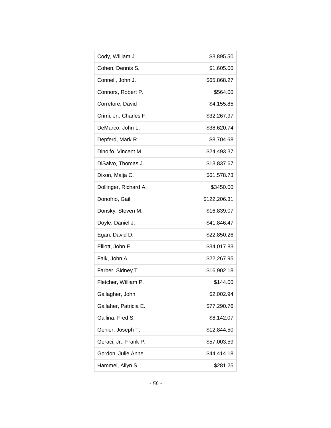| Cody, William J.       | \$3,895.50   |
|------------------------|--------------|
| Cohen, Dennis S.       | \$1,605.00   |
| Connell, John J.       | \$65,868.27  |
| Connors, Robert P.     | \$564.00     |
| Corretore, David       | \$4,155.85   |
| Crimi, Jr., Charles F. | \$32,267.97  |
| DeMarco, John L.       | \$38,620.74  |
| Depferd, Mark R.       | \$8,704.68   |
| Dinolfo, Vincent M.    | \$24,493.37  |
| DiSalvo, Thomas J.     | \$13,837.67  |
| Dixon, Maija C.        | \$61,578.73  |
| Dollinger, Richard A.  | \$3450.00    |
| Donofrio, Gail         | \$122,206.31 |
| Donsky, Steven M.      | \$16,839.07  |
| Doyle, Daniel J.       | \$41,846.47  |
| Egan, David D.         | \$22,850.26  |
| Elliott, John E.       | \$34,017.83  |
| Falk, John A.          | \$22,267.95  |
| Farber, Sidney T.      | \$16,902.18  |
| Fletcher, William P.   | \$144.00     |
| Gallagher, John        | \$2,002.94   |
| Gallaher, Patricia E.  | \$77,290.76  |
| Gallina, Fred S.       | \$8,142.07   |
| Genier, Joseph T.      | \$12,844.50  |
| Geraci, Jr., Frank P.  | \$57,003.59  |
| Gordon, Julie Anne     | \$44,414.18  |
| Hammel, Allyn S.       | \$281.25     |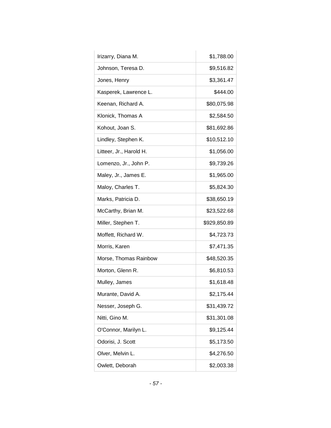| Irizarry, Diana M.      | \$1,788.00   |
|-------------------------|--------------|
| Johnson, Teresa D.      | \$9,516.82   |
| Jones, Henry            | \$3,361.47   |
| Kasperek, Lawrence L.   | \$444.00     |
| Keenan, Richard A.      | \$80,075.98  |
| Klonick, Thomas A       | \$2,584.50   |
| Kohout, Joan S.         | \$81,692.86  |
| Lindley, Stephen K.     | \$10,512.10  |
| Litteer, Jr., Harold H. | \$1,056.00   |
| Lomenzo, Jr., John P.   | \$9,739.26   |
| Maley, Jr., James E.    | \$1,965.00   |
| Maloy, Charles T.       | \$5,824.30   |
| Marks, Patricia D.      | \$38,650.19  |
| McCarthy, Brian M.      | \$23,522.68  |
| Miller, Stephen T.      | \$929,850.89 |
| Moffett, Richard W.     | \$4,723.73   |
| Morris, Karen           | \$7,471.35   |
| Morse, Thomas Rainbow   | \$48,520.35  |
| Morton, Glenn R.        | \$6,810.53   |
| Mulley, James           | \$1,618.48   |
| Murante, David A.       | \$2,175.44   |
| Nesser, Joseph G.       | \$31,439.72  |
| Nitti, Gino M.          | \$31,301.08  |
| O'Connor, Marilyn L.    | \$9,125.44   |
| Odorisi, J. Scott       | \$5,173.50   |
| Olver, Melvin L.        | \$4,276.50   |
| Owlett, Deborah         | \$2,003.38   |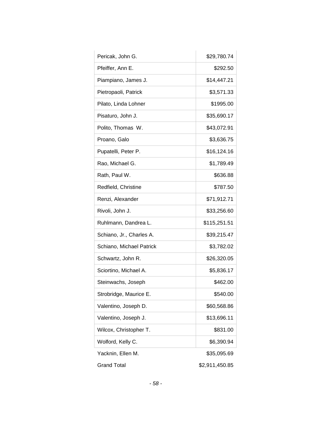| Pericak, John G.         | \$29,780.74    |
|--------------------------|----------------|
| Pfeiffer, Ann E.         | \$292.50       |
| Piampiano, James J.      | \$14,447.21    |
| Pietropaoli, Patrick     | \$3,571.33     |
| Pilato, Linda Lohner     | \$1995.00      |
| Pisaturo, John J.        | \$35,690.17    |
| Polito, Thomas W.        | \$43,072.91    |
| Proano, Galo             | \$3,636.75     |
| Pupatelli, Peter P.      | \$16,124.16    |
| Rao, Michael G.          | \$1,789.49     |
| Rath, Paul W.            | \$636.88       |
| Redfield, Christine      | \$787.50       |
| Renzi, Alexander         | \$71,912.71    |
| Rivoli, John J.          | \$33,256.60    |
| Ruhlmann, Dandrea L.     | \$115,251.51   |
| Schiano, Jr., Charles A. | \$39,215.47    |
| Schiano, Michael Patrick | \$3,782.02     |
| Schwartz, John R.        | \$26,320.05    |
| Sciortino, Michael A.    | \$5,836.17     |
| Steinwachs, Joseph       | \$462.00       |
| Strobridge, Maurice E.   | \$540.00       |
| Valentino, Joseph D.     | \$60,568.86    |
| Valentino, Joseph J.     | \$13,696.11    |
| Wilcox, Christopher T.   | \$831.00       |
| Wolford, Kelly C.        | \$6,390.94     |
| Yacknin, Ellen M.        | \$35,095.69    |
| <b>Grand Total</b>       | \$2,911,450.85 |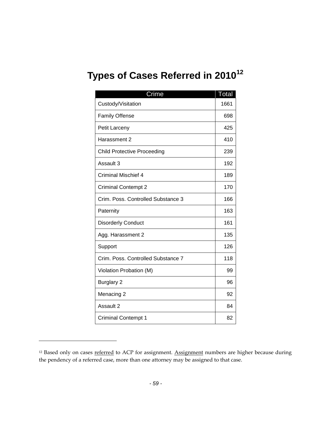# **Types of Cases Referred in 2010<sup>12</sup>**

| Crime                              | <b>Total</b> |
|------------------------------------|--------------|
| Custody/Visitation                 | 1661         |
| <b>Family Offense</b>              | 698          |
| Petit Larceny                      | 425          |
| Harassment 2                       | 410          |
| <b>Child Protective Proceeding</b> | 239          |
| Assault 3                          | 192          |
| <b>Criminal Mischief 4</b>         | 189          |
| <b>Criminal Contempt 2</b>         | 170          |
| Crim. Poss. Controlled Substance 3 | 166          |
| Paternity                          | 163          |
| <b>Disorderly Conduct</b>          | 161          |
| Agg. Harassment 2                  | 135          |
| Support                            | 126          |
| Crim. Poss. Controlled Substance 7 | 118          |
| Violation Probation (M)            | 99           |
| <b>Burglary 2</b>                  | 96           |
| Menacing 2                         | 92           |
| Assault 2                          | 84           |
| <b>Criminal Contempt 1</b>         | 82           |

<sup>&</sup>lt;sup>12</sup> Based only on cases **referred** to ACP for assignment. Assignment numbers are higher because during the pendency of a referred case, more than one attorney may be assigned to that case.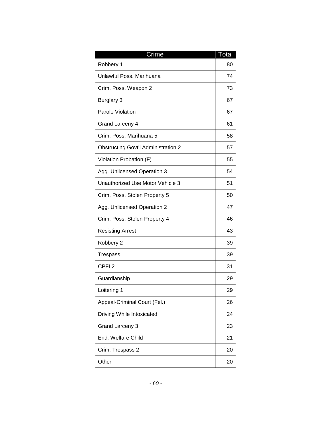| Crime                                      | Total |
|--------------------------------------------|-------|
| Robbery 1                                  | 80    |
| Unlawful Poss, Marihuana                   | 74    |
| Crim. Poss. Weapon 2                       | 73    |
| <b>Burglary 3</b>                          | 67    |
| Parole Violation                           | 67    |
| <b>Grand Larceny 4</b>                     | 61    |
| Crim. Poss. Marihuana 5                    | 58    |
| <b>Obstructing Govt'l Administration 2</b> | 57    |
| Violation Probation (F)                    | 55    |
| Agg. Unlicensed Operation 3                | 54    |
| Unauthorized Use Motor Vehicle 3           | 51    |
| Crim. Poss. Stolen Property 5              | 50    |
| Agg. Unlicensed Operation 2                | 47    |
| Crim. Poss. Stolen Property 4              | 46    |
| <b>Resisting Arrest</b>                    | 43    |
| Robbery 2                                  | 39    |
| Trespass                                   | 39    |
| CPFI <sub>2</sub>                          | 31    |
| Guardianship                               | 29    |
| Loitering 1                                | 29    |
| Appeal-Criminal Court (Fel.)               | 26    |
| Driving While Intoxicated                  | 24    |
| <b>Grand Larceny 3</b>                     | 23    |
| End. Welfare Child                         | 21    |
| Crim. Trespass 2                           | 20    |
| Other                                      | 20    |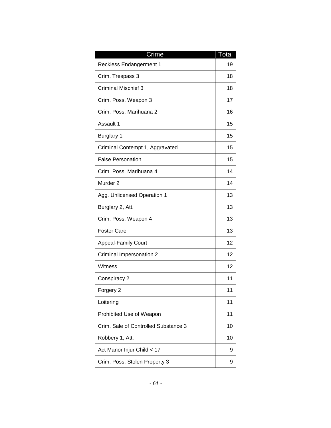| Crime                                | Total |
|--------------------------------------|-------|
| Reckless Endangerment 1              | 19    |
| Crim. Trespass 3                     | 18    |
| <b>Criminal Mischief 3</b>           | 18    |
| Crim. Poss. Weapon 3                 | 17    |
| Crim. Poss. Marihuana 2              | 16    |
| Assault 1                            | 15    |
| <b>Burglary 1</b>                    | 15    |
| Criminal Contempt 1, Aggravated      | 15    |
| <b>False Personation</b>             | 15    |
| Crim. Poss. Marihuana 4              | 14    |
| Murder <sub>2</sub>                  | 14    |
| Agg. Unlicensed Operation 1          | 13    |
| Burglary 2, Att.                     | 13    |
| Crim. Poss. Weapon 4                 | 13    |
| <b>Foster Care</b>                   | 13    |
| <b>Appeal-Family Court</b>           | 12    |
| Criminal Impersonation 2             | 12    |
| Witness                              | 12    |
| Conspiracy 2                         | 11    |
| Forgery 2                            | 11    |
| Loitering                            | 11    |
| Prohibited Use of Weapon             | 11    |
| Crim. Sale of Controlled Substance 3 | 10    |
| Robbery 1, Att.                      | 10    |
| Act Manor Injur Child < 17           | 9     |
| Crim. Poss. Stolen Property 3        | 9     |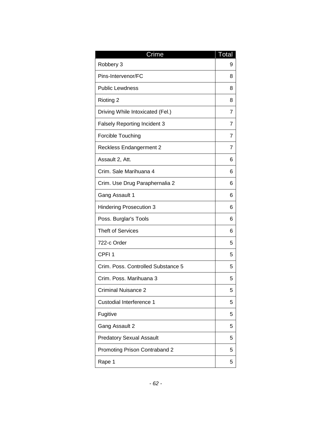| Crime                               | <b>Total</b> |
|-------------------------------------|--------------|
| Robbery 3                           | 9            |
| Pins-Intervenor/FC                  | 8            |
| <b>Public Lewdness</b>              | 8            |
| Rioting 2                           | 8            |
| Driving While Intoxicated (Fel.)    | 7            |
| <b>Falsely Reporting Incident 3</b> | 7            |
| Forcible Touching                   | 7            |
| <b>Reckless Endangerment 2</b>      | 7            |
| Assault 2, Att.                     | 6            |
| Crim. Sale Marihuana 4              | 6            |
| Crim. Use Drug Paraphernalia 2      | 6            |
| Gang Assault 1                      | 6            |
| <b>Hindering Prosecution 3</b>      | 6            |
| Poss. Burglar's Tools               | 6            |
| <b>Theft of Services</b>            | 6            |
| 722-c Order                         | 5            |
| CPFI <sub>1</sub>                   | 5            |
| Crim. Poss. Controlled Substance 5  | 5            |
| Crim. Poss. Marihuana 3             | 5            |
| Criminal Nuisance 2                 | 5            |
| Custodial Interference 1            | 5            |
| Fugitive                            | 5            |
| Gang Assault 2                      | 5            |
| <b>Predatory Sexual Assault</b>     | 5            |
| Promoting Prison Contraband 2       | 5            |
| Rape 1                              | 5            |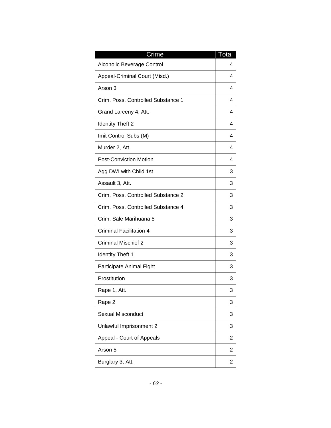| Crime                              | Total          |
|------------------------------------|----------------|
| Alcoholic Beverage Control         | 4              |
| Appeal-Criminal Court (Misd.)      | 4              |
| Arson 3                            | 4              |
| Crim. Poss. Controlled Substance 1 | 4              |
| Grand Larceny 4, Att.              | 4              |
| <b>Identity Theft 2</b>            | 4              |
| Imit Control Subs (M)              | 4              |
| Murder 2, Att.                     | 4              |
| <b>Post-Conviction Motion</b>      | 4              |
| Agg DWI with Child 1st             | 3              |
| Assault 3, Att.                    | 3              |
| Crim. Poss. Controlled Substance 2 | 3              |
| Crim. Poss. Controlled Substance 4 | 3              |
| Crim. Sale Marihuana 5             | 3              |
| <b>Criminal Facilitation 4</b>     | 3              |
| <b>Criminal Mischief 2</b>         | 3              |
| <b>Identity Theft 1</b>            | 3              |
| Participate Animal Fight           | 3              |
| Prostitution                       | 3              |
| Rape 1, Att.                       | 3              |
| Rape 2                             | 3              |
| <b>Sexual Misconduct</b>           | 3              |
| Unlawful Imprisonment 2            | 3              |
| Appeal - Court of Appeals          | $\overline{2}$ |
| Arson 5                            | 2              |
| Burglary 3, Att.                   | 2              |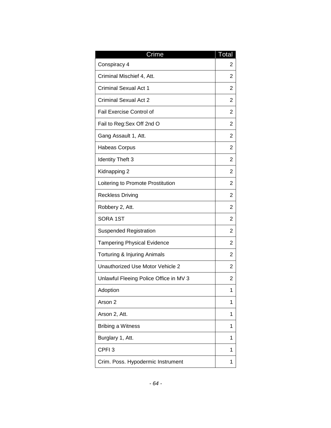| Crime                                  | Total |
|----------------------------------------|-------|
| Conspiracy 4                           | 2     |
| Criminal Mischief 4, Att.              | 2     |
| <b>Criminal Sexual Act 1</b>           | 2     |
| <b>Criminal Sexual Act 2</b>           | 2     |
| <b>Fail Exercise Control of</b>        | 2     |
| Fail to Reg: Sex Off 2nd O             | 2     |
| Gang Assault 1, Att.                   | 2     |
| <b>Habeas Corpus</b>                   | 2     |
| <b>Identity Theft 3</b>                | 2     |
| Kidnapping 2                           | 2     |
| Loitering to Promote Prostitution      | 2     |
| <b>Reckless Driving</b>                | 2     |
| Robbery 2, Att.                        | 2     |
| SORA 1ST                               | 2     |
| <b>Suspended Registration</b>          | 2     |
| <b>Tampering Physical Evidence</b>     | 2     |
| Torturing & Injuring Animals           | 2     |
| Unauthorized Use Motor Vehicle 2       | 2     |
| Unlawful Fleeing Police Office in MV 3 | 2     |
| Adoption                               | 1     |
| Arson 2                                | 1     |
| Arson 2, Att.                          | 1     |
| <b>Bribing a Witness</b>               | 1     |
| Burglary 1, Att.                       | 1     |
| CPFI <sub>3</sub>                      | 1     |
| Crim. Poss. Hypodermic Instrument      | 1     |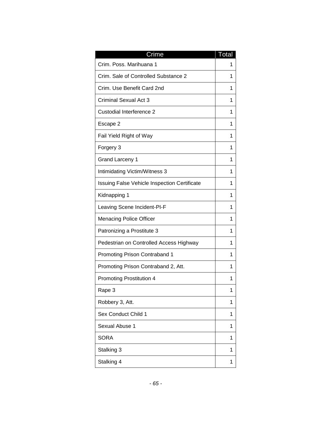| Crime                                        | <u>Total</u> |
|----------------------------------------------|--------------|
| Crim. Poss. Marihuana 1                      | 1            |
| Crim. Sale of Controlled Substance 2         | 1            |
| Crim. Use Benefit Card 2nd                   | 1            |
| <b>Criminal Sexual Act 3</b>                 | 1            |
| Custodial Interference 2                     | 1            |
| Escape 2                                     | 1            |
| Fail Yield Right of Way                      | 1            |
| Forgery 3                                    | 1            |
| <b>Grand Larceny 1</b>                       | 1            |
| Intimidating Victim/Witness 3                | 1            |
| Issuing False Vehicle Inspection Certificate | 1            |
| Kidnapping 1                                 | 1            |
| Leaving Scene Incident-PI-F                  | 1            |
| <b>Menacing Police Officer</b>               | 1            |
| Patronizing a Prostitute 3                   | 1            |
| Pedestrian on Controlled Access Highway      | 1            |
| <b>Promoting Prison Contraband 1</b>         | 1            |
| Promoting Prison Contraband 2, Att.          | 1            |
| <b>Promoting Prostitution 4</b>              | 1            |
| Rape 3                                       | 1            |
| Robbery 3, Att.                              | 1            |
| <b>Sex Conduct Child 1</b>                   | 1            |
| Sexual Abuse 1                               | 1            |
| <b>SORA</b>                                  | 1            |
| Stalking 3                                   | 1            |
| Stalking 4                                   | 1            |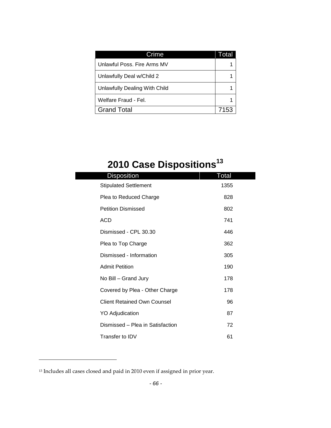| Crime                         | Total |
|-------------------------------|-------|
| Unlawful Poss, Fire Arms MV   |       |
| Unlawfully Deal w/Child 2     |       |
| Unlawfully Dealing With Child |       |
| Welfare Fraud - Fel.          |       |
| <b>Grand Total</b>            | 7153  |

# **2010 Case Dispositions<sup>13</sup>**

| <b>Disposition</b>                 | Total |
|------------------------------------|-------|
| <b>Stipulated Settlement</b>       | 1355  |
| Plea to Reduced Charge             | 828   |
| <b>Petition Dismissed</b>          | 802   |
| <b>ACD</b>                         | 741   |
| Dismissed - CPL 30.30              | 446   |
| Plea to Top Charge                 | 362   |
| Dismissed - Information            | 305   |
| <b>Admit Petition</b>              | 190   |
| No Bill - Grand Jury               | 178   |
| Covered by Plea - Other Charge     | 178   |
| <b>Client Retained Own Counsel</b> | 96    |
| <b>YO Adjudication</b>             | 87    |
| Dismissed - Plea in Satisfaction   | 72    |
| Transfer to IDV                    | 61    |

<sup>&</sup>lt;sup>13</sup> Includes all cases closed and paid in 2010 even if assigned in prior year.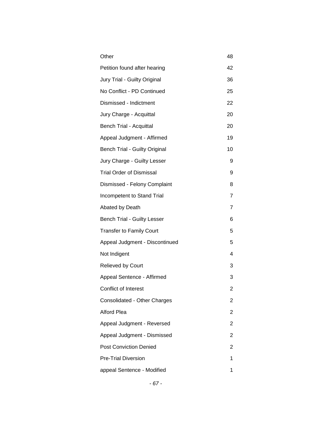| Other                           | 48             |
|---------------------------------|----------------|
| Petition found after hearing    | 42             |
| Jury Trial - Guilty Original    | 36             |
| No Conflict - PD Continued      | 25             |
| Dismissed - Indictment          | 22             |
| Jury Charge - Acquittal         | 20             |
| <b>Bench Trial - Acquittal</b>  | 20             |
| Appeal Judgment - Affirmed      | 19             |
| Bench Trial - Guilty Original   | 10             |
| Jury Charge - Guilty Lesser     | 9              |
| <b>Trial Order of Dismissal</b> | 9              |
| Dismissed - Felony Complaint    | 8              |
| Incompetent to Stand Trial      | 7              |
| Abated by Death                 | 7              |
| Bench Trial - Guilty Lesser     | 6              |
| <b>Transfer to Family Court</b> | 5              |
| Appeal Judgment - Discontinued  | 5              |
| Not Indigent                    | 4              |
| <b>Relieved by Court</b>        | 3              |
| Appeal Sentence - Affirmed      | 3              |
| <b>Conflict of Interest</b>     | 2              |
| Consolidated - Other Charges    | 2              |
| <b>Alford Plea</b>              | 2              |
| Appeal Judgment - Reversed      | 2              |
| Appeal Judgment - Dismissed     | $\overline{2}$ |
| <b>Post Conviction Denied</b>   | 2              |
| <b>Pre-Trial Diversion</b>      | 1              |
| appeal Sentence - Modified      | 1              |